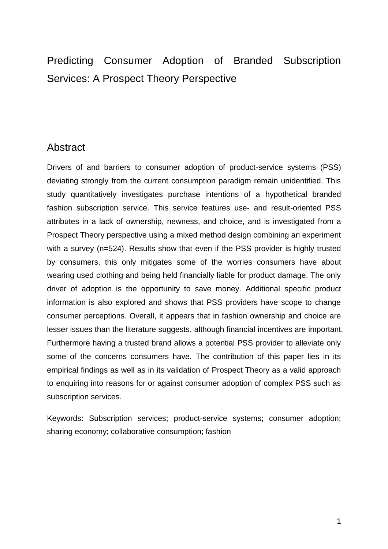# Predicting Consumer Adoption of Branded Subscription Services: A Prospect Theory Perspective

# Abstract

Drivers of and barriers to consumer adoption of product-service systems (PSS) deviating strongly from the current consumption paradigm remain unidentified. This study quantitatively investigates purchase intentions of a hypothetical branded fashion subscription service. This service features use- and result-oriented PSS attributes in a lack of ownership, newness, and choice, and is investigated from a Prospect Theory perspective using a mixed method design combining an experiment with a survey (n=524). Results show that even if the PSS provider is highly trusted by consumers, this only mitigates some of the worries consumers have about wearing used clothing and being held financially liable for product damage. The only driver of adoption is the opportunity to save money. Additional specific product information is also explored and shows that PSS providers have scope to change consumer perceptions. Overall, it appears that in fashion ownership and choice are lesser issues than the literature suggests, although financial incentives are important. Furthermore having a trusted brand allows a potential PSS provider to alleviate only some of the concerns consumers have. The contribution of this paper lies in its empirical findings as well as in its validation of Prospect Theory as a valid approach to enquiring into reasons for or against consumer adoption of complex PSS such as subscription services.

Keywords: Subscription services; product-service systems; consumer adoption; sharing economy; collaborative consumption; fashion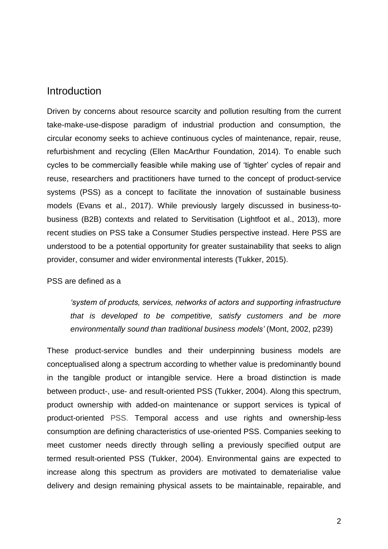### Introduction

Driven by concerns about resource scarcity and pollution resulting from the current take-make-use-dispose paradigm of industrial production and consumption, the circular economy seeks to achieve continuous cycles of maintenance, repair, reuse, refurbishment and recycling (Ellen MacArthur Foundation, 2014). To enable such cycles to be commercially feasible while making use of 'tighter' cycles of repair and reuse, researchers and practitioners have turned to the concept of product-service systems (PSS) as a concept to facilitate the innovation of sustainable business models (Evans et al., 2017). While previously largely discussed in business-tobusiness (B2B) contexts and related to Servitisation (Lightfoot et al., 2013), more recent studies on PSS take a Consumer Studies perspective instead. Here PSS are understood to be a potential opportunity for greater sustainability that seeks to align provider, consumer and wider environmental interests (Tukker, 2015).

#### PSS are defined as a

*'system of products, services, networks of actors and supporting infrastructure that is developed to be competitive, satisfy customers and be more environmentally sound than traditional business models'* (Mont, 2002, p239)

These product-service bundles and their underpinning business models are conceptualised along a spectrum according to whether value is predominantly bound in the tangible product or intangible service. Here a broad distinction is made between product-, use- and result-oriented PSS (Tukker, 2004). Along this spectrum, product ownership with added-on maintenance or support services is typical of product-oriented PSS. Temporal access and use rights and ownership-less consumption are defining characteristics of use-oriented PSS. Companies seeking to meet customer needs directly through selling a previously specified output are termed result-oriented PSS (Tukker, 2004). Environmental gains are expected to increase along this spectrum as providers are motivated to dematerialise value delivery and design remaining physical assets to be maintainable, repairable, and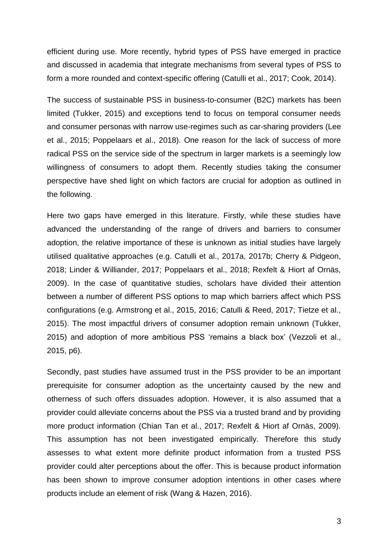efficient during use. More recently, hybrid types of PSS have emerged in practice and discussed in academia that integrate mechanisms from several types of PSS to form a more rounded and context-specific offering (Catulli et al., 2017; Cook, 2014).

The success of sustainable PSS in business-to-consumer (B2C) markets has been limited (Tukker, 2015) and exceptions tend to focus on temporal consumer needs and consumer personas with narrow use-regimes such as car-sharing providers (Lee et al., 2015; Poppelaars et al., 2018). One reason for the lack of success of more radical PSS on the service side of the spectrum in larger markets is a seemingly low willingness of consumers to adopt them. Recently studies taking the consumer perspective have shed light on which factors are crucial for adoption as outlined in the following.

Here two gaps have emerged in this literature. Firstly, while these studies have advanced the understanding of the range of drivers and barriers to consumer adoption, the relative importance of these is unknown as initial studies have largely utilised qualitative approaches (e.g. Catulli et al., 2017a, 2017b; Cherry & Pidgeon, 2018; Linder & Williander, 2017; Poppelaars et al., 2018; Rexfelt & Hiort af Ornäs, 2009). In the case of quantitative studies, scholars have divided their attention between a number of different PSS options to map which barriers affect which PSS configurations (e.g. Armstrong et al., 2015, 2016; Catulli & Reed, 2017; Tietze et al., 2015). The most impactful drivers of consumer adoption remain unknown (Tukker, 2015) and adoption of more ambitious PSS 'remains a black box' (Vezzoli et al., 2015, p6).

Secondly, past studies have assumed trust in the PSS provider to be an important prerequisite for consumer adoption as the uncertainty caused by the new and otherness of such offers dissuades adoption. However, it is also assumed that a provider could alleviate concerns about the PSS via a trusted brand and by providing more product information (Chian Tan et al., 2017; Rexfelt & Hiort af Ornäs, 2009). This assumption has not been investigated empirically. Therefore this study assesses to what extent more definite product information from a trusted PSS provider could alter perceptions about the offer. This is because product information has been shown to improve consumer adoption intentions in other cases where products include an element of risk (Wang & Hazen, 2016).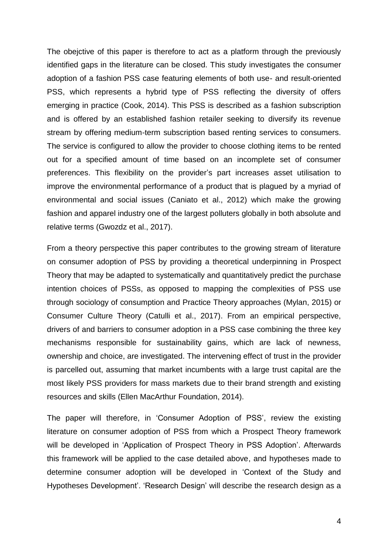The obejctive of this paper is therefore to act as a platform through the previously identified gaps in the literature can be closed. This study investigates the consumer adoption of a fashion PSS case featuring elements of both use- and result-oriented PSS, which represents a hybrid type of PSS reflecting the diversity of offers emerging in practice (Cook, 2014). This PSS is described as a fashion subscription and is offered by an established fashion retailer seeking to diversify its revenue stream by offering medium-term subscription based renting services to consumers. The service is configured to allow the provider to choose clothing items to be rented out for a specified amount of time based on an incomplete set of consumer preferences. This flexibility on the provider's part increases asset utilisation to improve the environmental performance of a product that is plagued by a myriad of environmental and social issues (Caniato et al., 2012) which make the growing fashion and apparel industry one of the largest polluters globally in both absolute and relative terms (Gwozdz et al., 2017).

From a theory perspective this paper contributes to the growing stream of literature on consumer adoption of PSS by providing a theoretical underpinning in Prospect Theory that may be adapted to systematically and quantitatively predict the purchase intention choices of PSSs, as opposed to mapping the complexities of PSS use through sociology of consumption and Practice Theory approaches (Mylan, 2015) or Consumer Culture Theory (Catulli et al., 2017). From an empirical perspective, drivers of and barriers to consumer adoption in a PSS case combining the three key mechanisms responsible for sustainability gains, which are lack of newness, ownership and choice, are investigated. The intervening effect of trust in the provider is parcelled out, assuming that market incumbents with a large trust capital are the most likely PSS providers for mass markets due to their brand strength and existing resources and skills (Ellen MacArthur Foundation, 2014).

The paper will therefore, in 'Consumer Adoption of PSS', review the existing literature on consumer adoption of PSS from which a Prospect Theory framework will be developed in 'Application of Prospect Theory in PSS Adoption'. Afterwards this framework will be applied to the case detailed above, and hypotheses made to determine consumer adoption will be developed in 'Context of the Study and Hypotheses Development'. 'Research Design' will describe the research design as a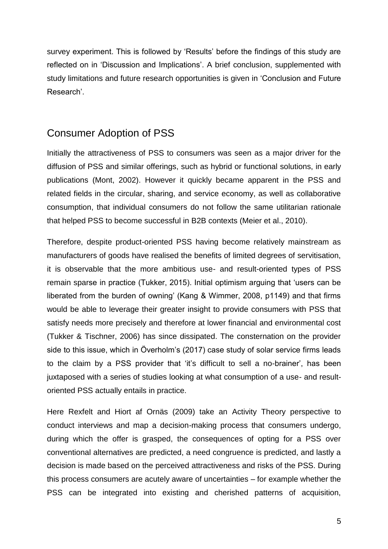survey experiment. This is followed by 'Results' before the findings of this study are reflected on in 'Discussion and Implications'. A brief conclusion, supplemented with study limitations and future research opportunities is given in 'Conclusion and Future Research'.

# Consumer Adoption of PSS

Initially the attractiveness of PSS to consumers was seen as a major driver for the diffusion of PSS and similar offerings, such as hybrid or functional solutions, in early publications (Mont, 2002). However it quickly became apparent in the PSS and related fields in the circular, sharing, and service economy, as well as collaborative consumption, that individual consumers do not follow the same utilitarian rationale that helped PSS to become successful in B2B contexts (Meier et al., 2010).

Therefore, despite product-oriented PSS having become relatively mainstream as manufacturers of goods have realised the benefits of limited degrees of servitisation, it is observable that the more ambitious use- and result-oriented types of PSS remain sparse in practice (Tukker, 2015). Initial optimism arguing that 'users can be liberated from the burden of owning' (Kang & Wimmer, 2008, p1149) and that firms would be able to leverage their greater insight to provide consumers with PSS that satisfy needs more precisely and therefore at lower financial and environmental cost (Tukker & Tischner, 2006) has since dissipated. The consternation on the provider side to this issue, which in Överholm's (2017) case study of solar service firms leads to the claim by a PSS provider that 'it's difficult to sell a no-brainer', has been juxtaposed with a series of studies looking at what consumption of a use- and resultoriented PSS actually entails in practice.

Here Rexfelt and Hiort af Ornäs (2009) take an Activity Theory perspective to conduct interviews and map a decision-making process that consumers undergo, during which the offer is grasped, the consequences of opting for a PSS over conventional alternatives are predicted, a need congruence is predicted, and lastly a decision is made based on the perceived attractiveness and risks of the PSS. During this process consumers are acutely aware of uncertainties – for example whether the PSS can be integrated into existing and cherished patterns of acquisition,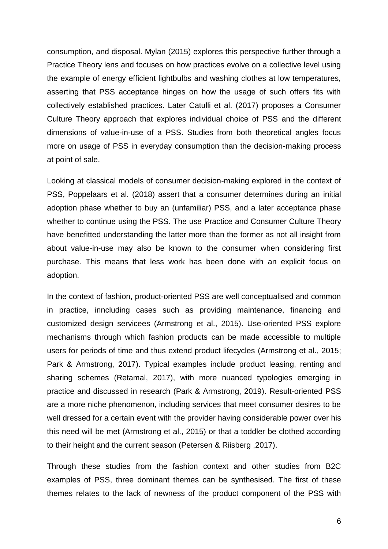consumption, and disposal. Mylan (2015) explores this perspective further through a Practice Theory lens and focuses on how practices evolve on a collective level using the example of energy efficient lightbulbs and washing clothes at low temperatures, asserting that PSS acceptance hinges on how the usage of such offers fits with collectively established practices. Later Catulli et al. (2017) proposes a Consumer Culture Theory approach that explores individual choice of PSS and the different dimensions of value-in-use of a PSS. Studies from both theoretical angles focus more on usage of PSS in everyday consumption than the decision-making process at point of sale.

Looking at classical models of consumer decision-making explored in the context of PSS, Poppelaars et al. (2018) assert that a consumer determines during an initial adoption phase whether to buy an (unfamiliar) PSS, and a later acceptance phase whether to continue using the PSS. The use Practice and Consumer Culture Theory have benefitted understanding the latter more than the former as not all insight from about value-in-use may also be known to the consumer when considering first purchase. This means that less work has been done with an explicit focus on adoption.

In the context of fashion, product-oriented PSS are well conceptualised and common in practice, inncluding cases such as providing maintenance, financing and customized design servicees (Armstrong et al., 2015). Use-oriented PSS explore mechanisms through which fashion products can be made accessible to multiple users for periods of time and thus extend product lifecycles (Armstrong et al., 2015; Park & Armstrong, 2017). Typical examples include product leasing, renting and sharing schemes (Retamal, 2017), with more nuanced typologies emerging in practice and discussed in research (Park & Armstrong, 2019). Result-oriented PSS are a more niche phenomenon, including services that meet consumer desires to be well dressed for a certain event with the provider having considerable power over his this need will be met (Armstrong et al., 2015) or that a toddler be clothed according to their height and the current season (Petersen & Riisberg ,2017).

Through these studies from the fashion context and other studies from B2C examples of PSS, three dominant themes can be synthesised. The first of these themes relates to the lack of newness of the product component of the PSS with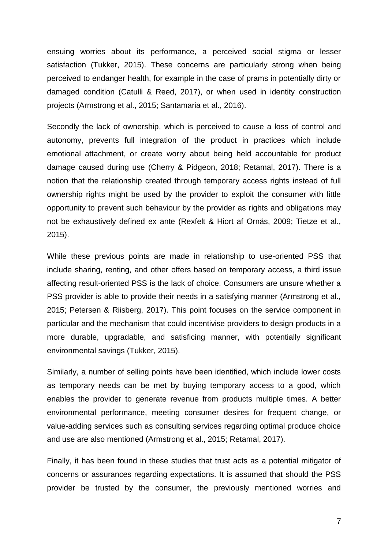ensuing worries about its performance, a perceived social stigma or lesser satisfaction (Tukker, 2015). These concerns are particularly strong when being perceived to endanger health, for example in the case of prams in potentially dirty or damaged condition (Catulli & Reed, 2017), or when used in identity construction projects (Armstrong et al., 2015; Santamaria et al., 2016).

Secondly the lack of ownership, which is perceived to cause a loss of control and autonomy, prevents full integration of the product in practices which include emotional attachment, or create worry about being held accountable for product damage caused during use (Cherry & Pidgeon, 2018; Retamal, 2017). There is a notion that the relationship created through temporary access rights instead of full ownership rights might be used by the provider to exploit the consumer with little opportunity to prevent such behaviour by the provider as rights and obligations may not be exhaustively defined ex ante (Rexfelt & Hiort af Ornäs, 2009; Tietze et al., 2015).

While these previous points are made in relationship to use-oriented PSS that include sharing, renting, and other offers based on temporary access, a third issue affecting result-oriented PSS is the lack of choice. Consumers are unsure whether a PSS provider is able to provide their needs in a satisfying manner (Armstrong et al., 2015; Petersen & Riisberg, 2017). This point focuses on the service component in particular and the mechanism that could incentivise providers to design products in a more durable, upgradable, and satisficing manner, with potentially significant environmental savings (Tukker, 2015).

Similarly, a number of selling points have been identified, which include lower costs as temporary needs can be met by buying temporary access to a good, which enables the provider to generate revenue from products multiple times. A better environmental performance, meeting consumer desires for frequent change, or value-adding services such as consulting services regarding optimal produce choice and use are also mentioned (Armstrong et al., 2015; Retamal, 2017).

Finally, it has been found in these studies that trust acts as a potential mitigator of concerns or assurances regarding expectations. It is assumed that should the PSS provider be trusted by the consumer, the previously mentioned worries and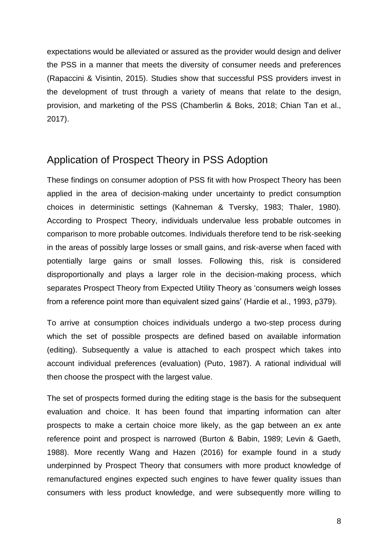expectations would be alleviated or assured as the provider would design and deliver the PSS in a manner that meets the diversity of consumer needs and preferences (Rapaccini & Visintin, 2015). Studies show that successful PSS providers invest in the development of trust through a variety of means that relate to the design, provision, and marketing of the PSS (Chamberlin & Boks, 2018; Chian Tan et al., 2017).

# Application of Prospect Theory in PSS Adoption

These findings on consumer adoption of PSS fit with how Prospect Theory has been applied in the area of decision-making under uncertainty to predict consumption choices in deterministic settings (Kahneman & Tversky, 1983; Thaler, 1980). According to Prospect Theory, individuals undervalue less probable outcomes in comparison to more probable outcomes. Individuals therefore tend to be risk-seeking in the areas of possibly large losses or small gains, and risk-averse when faced with potentially large gains or small losses. Following this, risk is considered disproportionally and plays a larger role in the decision-making process, which separates Prospect Theory from Expected Utility Theory as 'consumers weigh losses from a reference point more than equivalent sized gains' (Hardie et al., 1993, p379).

To arrive at consumption choices individuals undergo a two-step process during which the set of possible prospects are defined based on available information (editing). Subsequently a value is attached to each prospect which takes into account individual preferences (evaluation) (Puto, 1987). A rational individual will then choose the prospect with the largest value.

The set of prospects formed during the editing stage is the basis for the subsequent evaluation and choice. It has been found that imparting information can alter prospects to make a certain choice more likely, as the gap between an ex ante reference point and prospect is narrowed (Burton & Babin, 1989; Levin & Gaeth, 1988). More recently Wang and Hazen (2016) for example found in a study underpinned by Prospect Theory that consumers with more product knowledge of remanufactured engines expected such engines to have fewer quality issues than consumers with less product knowledge, and were subsequently more willing to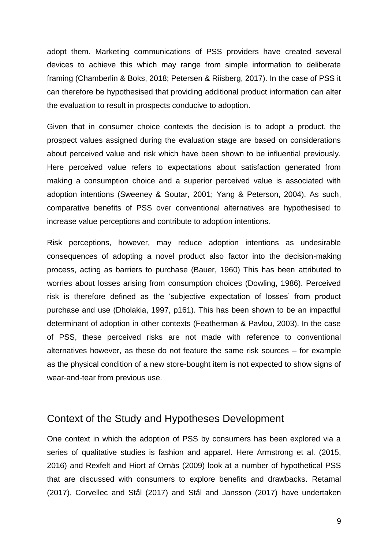adopt them. Marketing communications of PSS providers have created several devices to achieve this which may range from simple information to deliberate framing (Chamberlin & Boks, 2018; Petersen & Riisberg, 2017). In the case of PSS it can therefore be hypothesised that providing additional product information can alter the evaluation to result in prospects conducive to adoption.

Given that in consumer choice contexts the decision is to adopt a product, the prospect values assigned during the evaluation stage are based on considerations about perceived value and risk which have been shown to be influential previously. Here perceived value refers to expectations about satisfaction generated from making a consumption choice and a superior perceived value is associated with adoption intentions (Sweeney & Soutar, 2001; Yang & Peterson, 2004). As such, comparative benefits of PSS over conventional alternatives are hypothesised to increase value perceptions and contribute to adoption intentions.

Risk perceptions, however, may reduce adoption intentions as undesirable consequences of adopting a novel product also factor into the decision-making process, acting as barriers to purchase (Bauer, 1960) This has been attributed to worries about losses arising from consumption choices (Dowling, 1986). Perceived risk is therefore defined as the 'subjective expectation of losses' from product purchase and use (Dholakia, 1997, p161). This has been shown to be an impactful determinant of adoption in other contexts (Featherman & Pavlou, 2003). In the case of PSS, these perceived risks are not made with reference to conventional alternatives however, as these do not feature the same risk sources – for example as the physical condition of a new store-bought item is not expected to show signs of wear-and-tear from previous use.

# Context of the Study and Hypotheses Development

One context in which the adoption of PSS by consumers has been explored via a series of qualitative studies is fashion and apparel. Here Armstrong et al. (2015, 2016) and Rexfelt and Hiort af Ornäs (2009) look at a number of hypothetical PSS that are discussed with consumers to explore benefits and drawbacks. Retamal (2017), Corvellec and Stål (2017) and Stål and Jansson (2017) have undertaken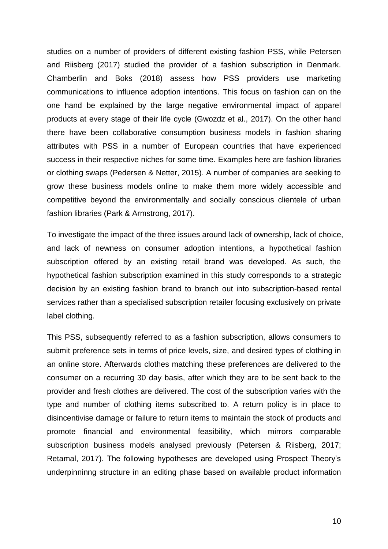studies on a number of providers of different existing fashion PSS, while Petersen and Riisberg (2017) studied the provider of a fashion subscription in Denmark. Chamberlin and Boks (2018) assess how PSS providers use marketing communications to influence adoption intentions. This focus on fashion can on the one hand be explained by the large negative environmental impact of apparel products at every stage of their life cycle (Gwozdz et al., 2017). On the other hand there have been collaborative consumption business models in fashion sharing attributes with PSS in a number of European countries that have experienced success in their respective niches for some time. Examples here are fashion libraries or clothing swaps (Pedersen & Netter, 2015). A number of companies are seeking to grow these business models online to make them more widely accessible and competitive beyond the environmentally and socially conscious clientele of urban fashion libraries (Park & Armstrong, 2017).

To investigate the impact of the three issues around lack of ownership, lack of choice, and lack of newness on consumer adoption intentions, a hypothetical fashion subscription offered by an existing retail brand was developed. As such, the hypothetical fashion subscription examined in this study corresponds to a strategic decision by an existing fashion brand to branch out into subscription-based rental services rather than a specialised subscription retailer focusing exclusively on private label clothing.

This PSS, subsequently referred to as a fashion subscription, allows consumers to submit preference sets in terms of price levels, size, and desired types of clothing in an online store. Afterwards clothes matching these preferences are delivered to the consumer on a recurring 30 day basis, after which they are to be sent back to the provider and fresh clothes are delivered. The cost of the subscription varies with the type and number of clothing items subscribed to. A return policy is in place to disincentivise damage or failure to return items to maintain the stock of products and promote financial and environmental feasibility, which mirrors comparable subscription business models analysed previously (Petersen & Riisberg, 2017; Retamal, 2017). The following hypotheses are developed using Prospect Theory's underpinninng structure in an editing phase based on available product information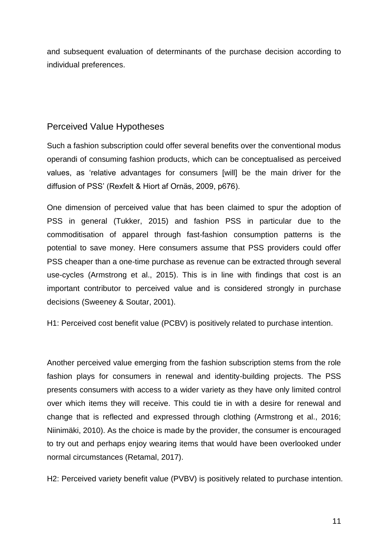and subsequent evaluation of determinants of the purchase decision according to individual preferences.

## Perceived Value Hypotheses

Such a fashion subscription could offer several benefits over the conventional modus operandi of consuming fashion products, which can be conceptualised as perceived values, as 'relative advantages for consumers [will] be the main driver for the diffusion of PSS' (Rexfelt & Hiort af Ornäs, 2009, p676).

One dimension of perceived value that has been claimed to spur the adoption of PSS in general (Tukker, 2015) and fashion PSS in particular due to the commoditisation of apparel through fast-fashion consumption patterns is the potential to save money. Here consumers assume that PSS providers could offer PSS cheaper than a one-time purchase as revenue can be extracted through several use-cycles (Armstrong et al., 2015). This is in line with findings that cost is an important contributor to perceived value and is considered strongly in purchase decisions (Sweeney & Soutar, 2001).

H1: Perceived cost benefit value (PCBV) is positively related to purchase intention.

Another perceived value emerging from the fashion subscription stems from the role fashion plays for consumers in renewal and identity-building projects. The PSS presents consumers with access to a wider variety as they have only limited control over which items they will receive. This could tie in with a desire for renewal and change that is reflected and expressed through clothing (Armstrong et al., 2016; Niinimäki, 2010). As the choice is made by the provider, the consumer is encouraged to try out and perhaps enjoy wearing items that would have been overlooked under normal circumstances (Retamal, 2017).

H2: Perceived variety benefit value (PVBV) is positively related to purchase intention.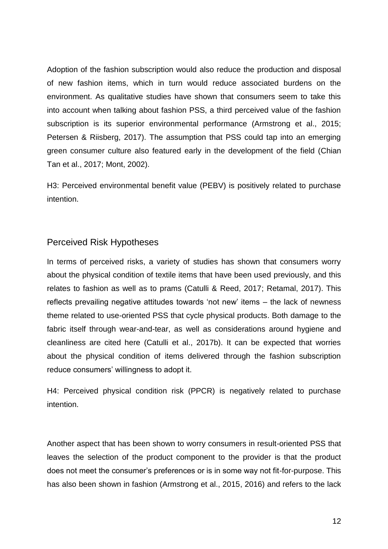Adoption of the fashion subscription would also reduce the production and disposal of new fashion items, which in turn would reduce associated burdens on the environment. As qualitative studies have shown that consumers seem to take this into account when talking about fashion PSS, a third perceived value of the fashion subscription is its superior environmental performance (Armstrong et al., 2015; Petersen & Riisberg, 2017). The assumption that PSS could tap into an emerging green consumer culture also featured early in the development of the field (Chian Tan et al., 2017; Mont, 2002).

H3: Perceived environmental benefit value (PEBV) is positively related to purchase intention.

#### Perceived Risk Hypotheses

In terms of perceived risks, a variety of studies has shown that consumers worry about the physical condition of textile items that have been used previously, and this relates to fashion as well as to prams (Catulli & Reed, 2017; Retamal, 2017). This reflects prevailing negative attitudes towards 'not new' items – the lack of newness theme related to use-oriented PSS that cycle physical products. Both damage to the fabric itself through wear-and-tear, as well as considerations around hygiene and cleanliness are cited here (Catulli et al., 2017b). It can be expected that worries about the physical condition of items delivered through the fashion subscription reduce consumers' willingness to adopt it.

H4: Perceived physical condition risk (PPCR) is negatively related to purchase intention.

Another aspect that has been shown to worry consumers in result-oriented PSS that leaves the selection of the product component to the provider is that the product does not meet the consumer's preferences or is in some way not fit-for-purpose. This has also been shown in fashion (Armstrong et al., 2015, 2016) and refers to the lack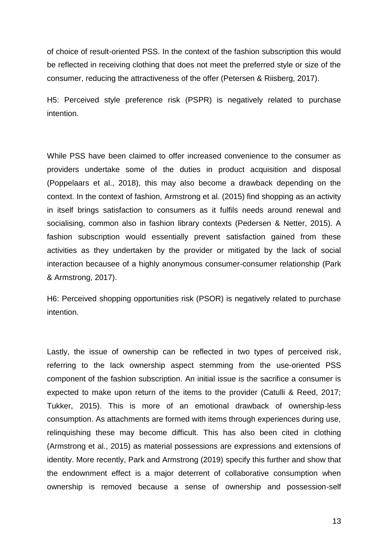of choice of result-oriented PSS. In the context of the fashion subscription this would be reflected in receiving clothing that does not meet the preferred style or size of the consumer, reducing the attractiveness of the offer (Petersen & Riisberg, 2017).

H5: Perceived style preference risk (PSPR) is negatively related to purchase intention.

While PSS have been claimed to offer increased convenience to the consumer as providers undertake some of the duties in product acquisition and disposal (Poppelaars et al., 2018), this may also become a drawback depending on the context. In the context of fashion, Armstrong et al. (2015) find shopping as an activity in itself brings satisfaction to consumers as it fulfils needs around renewal and socialising, common also in fashion library contexts (Pedersen & Netter, 2015). A fashion subscription would essentially prevent satisfaction gained from these activities as they undertaken by the provider or mitigated by the lack of social interaction becausee of a highly anonymous consumer-consumer relationship (Park & Armstrong, 2017).

H6: Perceived shopping opportunities risk (PSOR) is negatively related to purchase intention.

Lastly, the issue of ownership can be reflected in two types of perceived risk, referring to the lack ownership aspect stemming from the use-oriented PSS component of the fashion subscription. An initial issue is the sacrifice a consumer is expected to make upon return of the items to the provider (Catulli & Reed, 2017; Tukker, 2015). This is more of an emotional drawback of ownership-less consumption. As attachments are formed with items through experiences during use, relinquishing these may become difficult. This has also been cited in clothing (Armstrong et al., 2015) as material possessions are expressions and extensions of identity. More recently, Park and Armstrong (2019) specify this further and show that the endownment effect is a major deterrent of collaborative consumption when ownership is removed because a sense of ownership and possession-self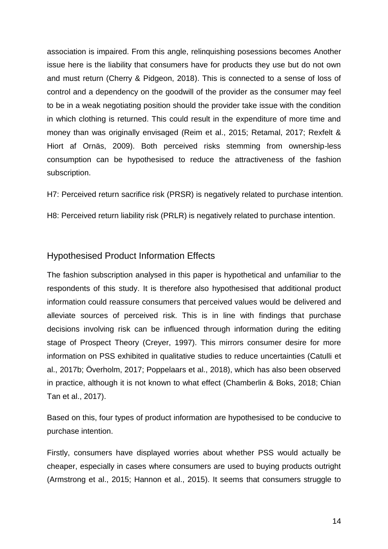association is impaired. From this angle, relinquishing posessions becomes Another issue here is the liability that consumers have for products they use but do not own and must return (Cherry & Pidgeon, 2018). This is connected to a sense of loss of control and a dependency on the goodwill of the provider as the consumer may feel to be in a weak negotiating position should the provider take issue with the condition in which clothing is returned. This could result in the expenditure of more time and money than was originally envisaged (Reim et al., 2015; Retamal, 2017; Rexfelt & Hiort af Ornäs, 2009). Both perceived risks stemming from ownership-less consumption can be hypothesised to reduce the attractiveness of the fashion subscription.

H7: Perceived return sacrifice risk (PRSR) is negatively related to purchase intention.

H8: Perceived return liability risk (PRLR) is negatively related to purchase intention.

#### Hypothesised Product Information Effects

The fashion subscription analysed in this paper is hypothetical and unfamiliar to the respondents of this study. It is therefore also hypothesised that additional product information could reassure consumers that perceived values would be delivered and alleviate sources of perceived risk. This is in line with findings that purchase decisions involving risk can be influenced through information during the editing stage of Prospect Theory (Creyer, 1997). This mirrors consumer desire for more information on PSS exhibited in qualitative studies to reduce uncertainties (Catulli et al., 2017b; Överholm, 2017; Poppelaars et al., 2018), which has also been observed in practice, although it is not known to what effect (Chamberlin & Boks, 2018; Chian Tan et al., 2017).

Based on this, four types of product information are hypothesised to be conducive to purchase intention.

Firstly, consumers have displayed worries about whether PSS would actually be cheaper, especially in cases where consumers are used to buying products outright (Armstrong et al., 2015; Hannon et al., 2015). It seems that consumers struggle to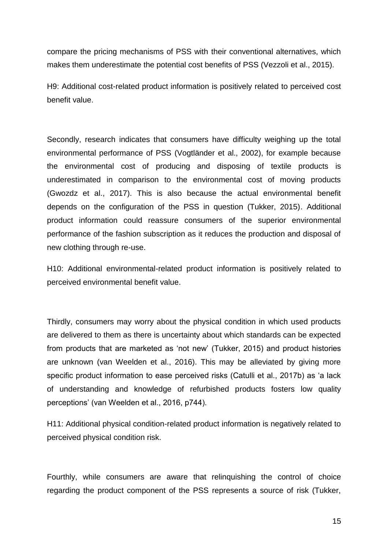compare the pricing mechanisms of PSS with their conventional alternatives, which makes them underestimate the potential cost benefits of PSS (Vezzoli et al., 2015).

H9: Additional cost-related product information is positively related to perceived cost benefit value.

Secondly, research indicates that consumers have difficulty weighing up the total environmental performance of PSS (Vogtländer et al., 2002), for example because the environmental cost of producing and disposing of textile products is underestimated in comparison to the environmental cost of moving products (Gwozdz et al., 2017). This is also because the actual environmental benefit depends on the configuration of the PSS in question (Tukker, 2015). Additional product information could reassure consumers of the superior environmental performance of the fashion subscription as it reduces the production and disposal of new clothing through re-use.

H10: Additional environmental-related product information is positively related to perceived environmental benefit value.

Thirdly, consumers may worry about the physical condition in which used products are delivered to them as there is uncertainty about which standards can be expected from products that are marketed as 'not new' (Tukker, 2015) and product histories are unknown (van Weelden et al., 2016). This may be alleviated by giving more specific product information to ease perceived risks (Catulli et al., 2017b) as 'a lack of understanding and knowledge of refurbished products fosters low quality perceptions' (van Weelden et al., 2016, p744).

H11: Additional physical condition-related product information is negatively related to perceived physical condition risk.

Fourthly, while consumers are aware that relinquishing the control of choice regarding the product component of the PSS represents a source of risk (Tukker,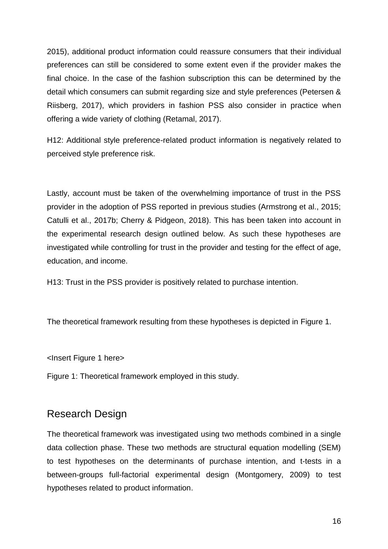2015), additional product information could reassure consumers that their individual preferences can still be considered to some extent even if the provider makes the final choice. In the case of the fashion subscription this can be determined by the detail which consumers can submit regarding size and style preferences (Petersen & Riisberg, 2017), which providers in fashion PSS also consider in practice when offering a wide variety of clothing (Retamal, 2017).

H12: Additional style preference-related product information is negatively related to perceived style preference risk.

Lastly, account must be taken of the overwhelming importance of trust in the PSS provider in the adoption of PSS reported in previous studies (Armstrong et al., 2015; Catulli et al., 2017b; Cherry & Pidgeon, 2018). This has been taken into account in the experimental research design outlined below. As such these hypotheses are investigated while controlling for trust in the provider and testing for the effect of age, education, and income.

H13: Trust in the PSS provider is positively related to purchase intention.

The theoretical framework resulting from these hypotheses is depicted in Figure 1.

<Insert Figure 1 here>

Figure 1: Theoretical framework employed in this study.

# Research Design

The theoretical framework was investigated using two methods combined in a single data collection phase. These two methods are structural equation modelling (SEM) to test hypotheses on the determinants of purchase intention, and t-tests in a between-groups full-factorial experimental design (Montgomery, 2009) to test hypotheses related to product information.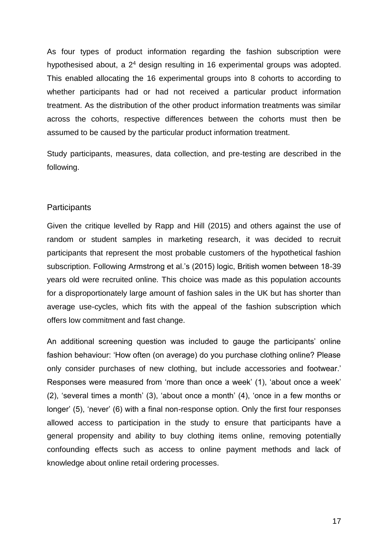As four types of product information regarding the fashion subscription were hypothesised about, a  $2<sup>4</sup>$  design resulting in 16 experimental groups was adopted. This enabled allocating the 16 experimental groups into 8 cohorts to according to whether participants had or had not received a particular product information treatment. As the distribution of the other product information treatments was similar across the cohorts, respective differences between the cohorts must then be assumed to be caused by the particular product information treatment.

Study participants, measures, data collection, and pre-testing are described in the following.

#### **Participants**

Given the critique levelled by Rapp and Hill (2015) and others against the use of random or student samples in marketing research, it was decided to recruit participants that represent the most probable customers of the hypothetical fashion subscription. Following Armstrong et al.'s (2015) logic, British women between 18-39 years old were recruited online*.* This choice was made as this population accounts for a disproportionately large amount of fashion sales in the UK but has shorter than average use-cycles, which fits with the appeal of the fashion subscription which offers low commitment and fast change.

An additional screening question was included to gauge the participants' online fashion behaviour: 'How often (on average) do you purchase clothing online? Please only consider purchases of new clothing, but include accessories and footwear.' Responses were measured from 'more than once a week' (1), 'about once a week' (2), 'several times a month' (3), 'about once a month' (4), 'once in a few months or longer' (5), 'never' (6) with a final non-response option. Only the first four responses allowed access to participation in the study to ensure that participants have a general propensity and ability to buy clothing items online, removing potentially confounding effects such as access to online payment methods and lack of knowledge about online retail ordering processes.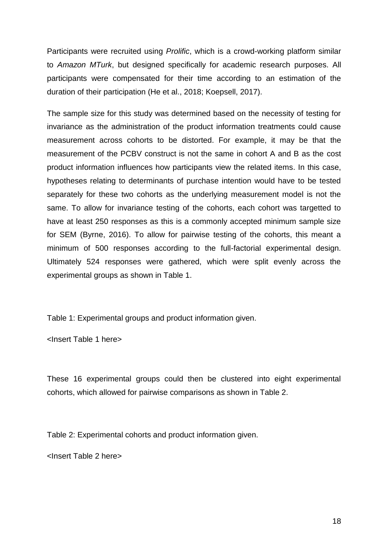Participants were recruited using *Prolific*, which is a crowd-working platform similar to *Amazon MTurk*, but designed specifically for academic research purposes. All participants were compensated for their time according to an estimation of the duration of their participation (He et al., 2018; Koepsell, 2017).

The sample size for this study was determined based on the necessity of testing for invariance as the administration of the product information treatments could cause measurement across cohorts to be distorted. For example, it may be that the measurement of the PCBV construct is not the same in cohort A and B as the cost product information influences how participants view the related items. In this case, hypotheses relating to determinants of purchase intention would have to be tested separately for these two cohorts as the underlying measurement model is not the same. To allow for invariance testing of the cohorts, each cohort was targetted to have at least 250 responses as this is a commonly accepted minimum sample size for SEM (Byrne, 2016). To allow for pairwise testing of the cohorts, this meant a minimum of 500 responses according to the full-factorial experimental design. Ultimately 524 responses were gathered, which were split evenly across the experimental groups as shown in Table 1.

Table 1: Experimental groups and product information given.

<Insert Table 1 here>

These 16 experimental groups could then be clustered into eight experimental cohorts, which allowed for pairwise comparisons as shown in Table 2.

Table 2: Experimental cohorts and product information given.

<Insert Table 2 here>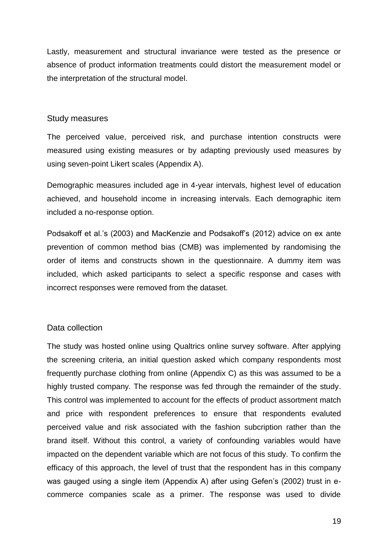Lastly, measurement and structural invariance were tested as the presence or absence of product information treatments could distort the measurement model or the interpretation of the structural model.

#### Study measures

The perceived value, perceived risk, and purchase intention constructs were measured using existing measures or by adapting previously used measures by using seven-point Likert scales (Appendix A).

Demographic measures included age in 4-year intervals, highest level of education achieved, and household income in increasing intervals. Each demographic item included a no-response option.

Podsakoff et al.'s (2003) and MacKenzie and Podsakoff's (2012) advice on ex ante prevention of common method bias (CMB) was implemented by randomising the order of items and constructs shown in the questionnaire. A dummy item was included, which asked participants to select a specific response and cases with incorrect responses were removed from the dataset.

#### Data collection

The study was hosted online using Qualtrics online survey software. After applying the screening criteria, an initial question asked which company respondents most frequently purchase clothing from online (Appendix C) as this was assumed to be a highly trusted company. The response was fed through the remainder of the study. This control was implemented to account for the effects of product assortment match and price with respondent preferences to ensure that respondents evaluted perceived value and risk associated with the fashion subcription rather than the brand itself. Without this control, a variety of confounding variables would have impacted on the dependent variable which are not focus of this study. To confirm the efficacy of this approach, the level of trust that the respondent has in this company was gauged using a single item (Appendix A) after using Gefen's (2002) trust in ecommerce companies scale as a primer. The response was used to divide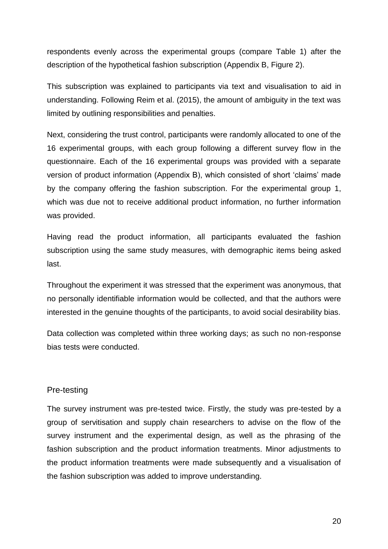respondents evenly across the experimental groups (compare Table 1) after the description of the hypothetical fashion subscription (Appendix B, Figure 2).

This subscription was explained to participants via text and visualisation to aid in understanding. Following Reim et al. (2015), the amount of ambiguity in the text was limited by outlining responsibilities and penalties.

Next, considering the trust control, participants were randomly allocated to one of the 16 experimental groups, with each group following a different survey flow in the questionnaire. Each of the 16 experimental groups was provided with a separate version of product information (Appendix B), which consisted of short 'claims' made by the company offering the fashion subscription. For the experimental group 1, which was due not to receive additional product information, no further information was provided.

Having read the product information, all participants evaluated the fashion subscription using the same study measures, with demographic items being asked last.

Throughout the experiment it was stressed that the experiment was anonymous, that no personally identifiable information would be collected, and that the authors were interested in the genuine thoughts of the participants, to avoid social desirability bias.

Data collection was completed within three working days; as such no non-response bias tests were conducted.

#### Pre-testing

The survey instrument was pre-tested twice. Firstly, the study was pre-tested by a group of servitisation and supply chain researchers to advise on the flow of the survey instrument and the experimental design, as well as the phrasing of the fashion subscription and the product information treatments. Minor adjustments to the product information treatments were made subsequently and a visualisation of the fashion subscription was added to improve understanding.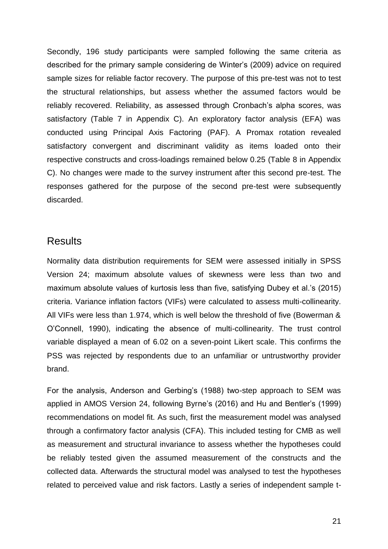Secondly, 196 study participants were sampled following the same criteria as described for the primary sample considering de Winter's (2009) advice on required sample sizes for reliable factor recovery. The purpose of this pre-test was not to test the structural relationships, but assess whether the assumed factors would be reliably recovered. Reliability, as assessed through Cronbach's alpha scores, was satisfactory (Table 7 in Appendix C). An exploratory factor analysis (EFA) was conducted using Principal Axis Factoring (PAF). A Promax rotation revealed satisfactory convergent and discriminant validity as items loaded onto their respective constructs and cross-loadings remained below 0.25 (Table 8 in Appendix C). No changes were made to the survey instrument after this second pre-test. The responses gathered for the purpose of the second pre-test were subsequently discarded.

## **Results**

Normality data distribution requirements for SEM were assessed initially in SPSS Version 24; maximum absolute values of skewness were less than two and maximum absolute values of kurtosis less than five, satisfying Dubey et al.'s (2015) criteria. Variance inflation factors (VIFs) were calculated to assess multi-collinearity. All VIFs were less than 1.974, which is well below the threshold of five (Bowerman & O'Connell, 1990), indicating the absence of multi-collinearity. The trust control variable displayed a mean of 6.02 on a seven-point Likert scale. This confirms the PSS was rejected by respondents due to an unfamiliar or untrustworthy provider brand.

For the analysis, Anderson and Gerbing's (1988) two-step approach to SEM was applied in AMOS Version 24, following Byrne's (2016) and Hu and Bentler's (1999) recommendations on model fit. As such, first the measurement model was analysed through a confirmatory factor analysis (CFA). This included testing for CMB as well as measurement and structural invariance to assess whether the hypotheses could be reliably tested given the assumed measurement of the constructs and the collected data. Afterwards the structural model was analysed to test the hypotheses related to perceived value and risk factors. Lastly a series of independent sample t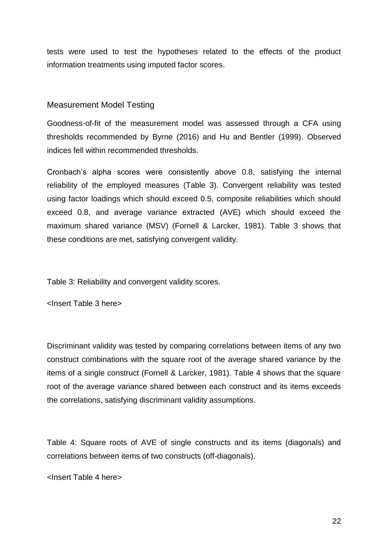tests were used to test the hypotheses related to the effects of the product information treatments using imputed factor scores.

#### Measurement Model Testing

Goodness-of-fit of the measurement model was assessed through a CFA using thresholds recommended by Byrne (2016) and Hu and Bentler (1999). Observed indices fell within recommended thresholds.

Cronbach's alpha scores were consistently above 0.8, satisfying the internal reliability of the employed measures (Table 3). Convergent reliability was tested using factor loadings which should exceed 0.5, composite reliabilities which should exceed 0.8, and average variance extracted (AVE) which should exceed the maximum shared variance (MSV) (Fornell & Larcker, 1981). Table 3 shows that these conditions are met, satisfying convergent validity.

Table 3: Reliability and convergent validity scores.

<Insert Table 3 here>

Discriminant validity was tested by comparing correlations between items of any two construct combinations with the square root of the average shared variance by the items of a single construct (Fornell & Larcker, 1981). Table 4 shows that the square root of the average variance shared between each construct and its items exceeds the correlations, satisfying discriminant validity assumptions.

Table 4: Square roots of AVE of single constructs and its items (diagonals) and correlations between items of two constructs (off-diagonals).

<Insert Table 4 here>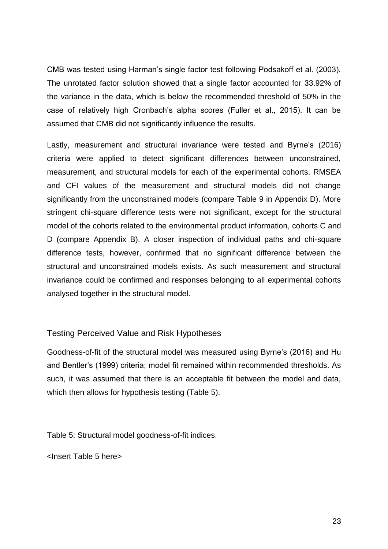CMB was tested using Harman's single factor test following Podsakoff et al. (2003). The unrotated factor solution showed that a single factor accounted for 33.92% of the variance in the data, which is below the recommended threshold of 50% in the case of relatively high Cronbach's alpha scores (Fuller et al., 2015). It can be assumed that CMB did not significantly influence the results.

Lastly, measurement and structural invariance were tested and Byrne's (2016) criteria were applied to detect significant differences between unconstrained, measurement, and structural models for each of the experimental cohorts. RMSEA and CFI values of the measurement and structural models did not change significantly from the unconstrained models (compare Table 9 in Appendix D). More stringent chi-square difference tests were not significant, except for the structural model of the cohorts related to the environmental product information, cohorts C and D (compare Appendix B). A closer inspection of individual paths and chi-square difference tests, however, confirmed that no significant difference between the structural and unconstrained models exists. As such measurement and structural invariance could be confirmed and responses belonging to all experimental cohorts analysed together in the structural model.

#### Testing Perceived Value and Risk Hypotheses

Goodness-of-fit of the structural model was measured using Byrne's (2016) and Hu and Bentler's (1999) criteria; model fit remained within recommended thresholds. As such, it was assumed that there is an acceptable fit between the model and data, which then allows for hypothesis testing (Table 5).

Table 5: Structural model goodness-of-fit indices.

<Insert Table 5 here>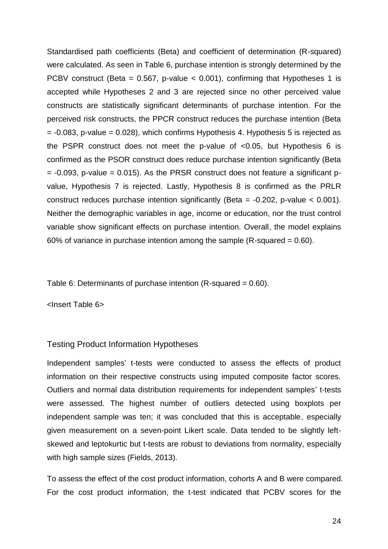Standardised path coefficients (Beta) and coefficient of determination (R-squared) were calculated. As seen in Table 6, purchase intention is strongly determined by the PCBV construct (Beta =  $0.567$ , p-value <  $0.001$ ), confirming that Hypotheses 1 is accepted while Hypotheses 2 and 3 are rejected since no other perceived value constructs are statistically significant determinants of purchase intention. For the perceived risk constructs, the PPCR construct reduces the purchase intention (Beta  $= -0.083$ , p-value  $= 0.028$ ), which confirms Hypothesis 4. Hypothesis 5 is rejected as the PSPR construct does not meet the p-value of <0.05, but Hypothesis 6 is confirmed as the PSOR construct does reduce purchase intention significantly (Beta  $= -0.093$ , p-value  $= 0.015$ ). As the PRSR construct does not feature a significant pvalue, Hypothesis 7 is rejected. Lastly, Hypothesis 8 is confirmed as the PRLR construct reduces purchase intention significantly (Beta = -0.202, p-value < 0.001). Neither the demographic variables in age, income or education, nor the trust control variable show significant effects on purchase intention. Overall, the model explains 60% of variance in purchase intention among the sample (R-squared  $= 0.60$ ).

Table 6: Determinants of purchase intention (R-squared = 0.60).

<Insert Table 6>

#### Testing Product Information Hypotheses

Independent samples' t-tests were conducted to assess the effects of product information on their respective constructs using imputed composite factor scores. Outliers and normal data distribution requirements for independent samples' t-tests were assessed. The highest number of outliers detected using boxplots per independent sample was ten; it was concluded that this is acceptable, especially given measurement on a seven-point Likert scale. Data tended to be slightly leftskewed and leptokurtic but t-tests are robust to deviations from normality, especially with high sample sizes (Fields, 2013).

To assess the effect of the cost product information, cohorts A and B were compared. For the cost product information, the t-test indicated that PCBV scores for the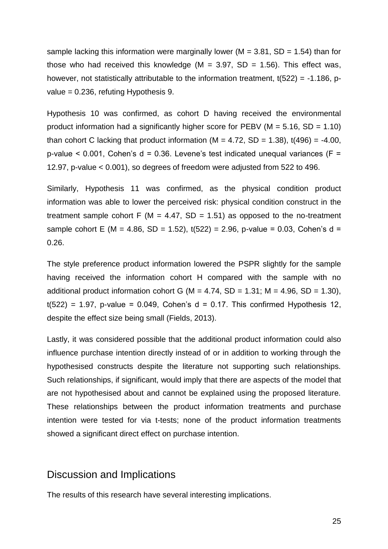sample lacking this information were marginally lower ( $M = 3.81$ , SD = 1.54) than for those who had received this knowledge ( $M = 3.97$ , SD = 1.56). This effect was, however, not statistically attributable to the information treatment,  $t(522) = -1.186$ , pvalue = 0.236, refuting Hypothesis 9.

Hypothesis 10 was confirmed, as cohort D having received the environmental product information had a significantly higher score for PEBV ( $M = 5.16$ , SD = 1.10) than cohort C lacking that product information ( $M = 4.72$ , SD = 1.38), t(496) = -4.00, p-value  $\leq$  0.001, Cohen's d = 0.36. Levene's test indicated unequal variances (F = 12.97, p-value < 0.001), so degrees of freedom were adjusted from 522 to 496.

Similarly, Hypothesis 11 was confirmed, as the physical condition product information was able to lower the perceived risk: physical condition construct in the treatment sample cohort F ( $M = 4.47$ , SD = 1.51) as opposed to the no-treatment sample cohort E (M = 4.86, SD = 1.52),  $t(522) = 2.96$ , p-value = 0.03, Cohen's d = 0.26.

The style preference product information lowered the PSPR slightly for the sample having received the information cohort H compared with the sample with no additional product information cohort G (M = 4.74, SD = 1.31; M = 4.96, SD = 1.30),  $t(522) = 1.97$ , p-value = 0.049, Cohen's d = 0.17. This confirmed Hypothesis 12, despite the effect size being small (Fields, 2013).

Lastly, it was considered possible that the additional product information could also influence purchase intention directly instead of or in addition to working through the hypothesised constructs despite the literature not supporting such relationships. Such relationships, if significant, would imply that there are aspects of the model that are not hypothesised about and cannot be explained using the proposed literature. These relationships between the product information treatments and purchase intention were tested for via t-tests; none of the product information treatments showed a significant direct effect on purchase intention.

### Discussion and Implications

The results of this research have several interesting implications.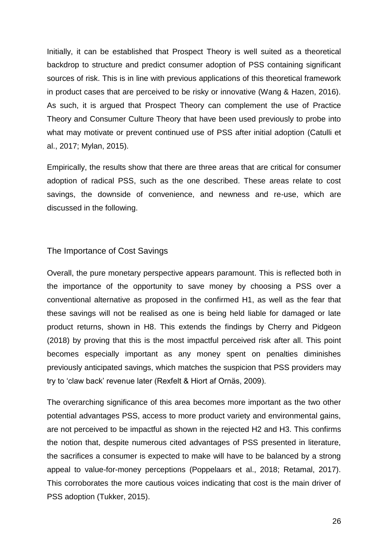Initially, it can be established that Prospect Theory is well suited as a theoretical backdrop to structure and predict consumer adoption of PSS containing significant sources of risk. This is in line with previous applications of this theoretical framework in product cases that are perceived to be risky or innovative (Wang & Hazen, 2016). As such, it is argued that Prospect Theory can complement the use of Practice Theory and Consumer Culture Theory that have been used previously to probe into what may motivate or prevent continued use of PSS after initial adoption (Catulli et al., 2017; Mylan, 2015).

Empirically, the results show that there are three areas that are critical for consumer adoption of radical PSS, such as the one described. These areas relate to cost savings, the downside of convenience, and newness and re-use, which are discussed in the following.

#### The Importance of Cost Savings

Overall, the pure monetary perspective appears paramount. This is reflected both in the importance of the opportunity to save money by choosing a PSS over a conventional alternative as proposed in the confirmed H1, as well as the fear that these savings will not be realised as one is being held liable for damaged or late product returns, shown in H8. This extends the findings by Cherry and Pidgeon (2018) by proving that this is the most impactful perceived risk after all. This point becomes especially important as any money spent on penalties diminishes previously anticipated savings, which matches the suspicion that PSS providers may try to 'claw back' revenue later (Rexfelt & Hiort af Ornäs, 2009).

The overarching significance of this area becomes more important as the two other potential advantages PSS, access to more product variety and environmental gains, are not perceived to be impactful as shown in the rejected H2 and H3. This confirms the notion that, despite numerous cited advantages of PSS presented in literature, the sacrifices a consumer is expected to make will have to be balanced by a strong appeal to value-for-money perceptions (Poppelaars et al., 2018; Retamal, 2017). This corroborates the more cautious voices indicating that cost is the main driver of PSS adoption (Tukker, 2015).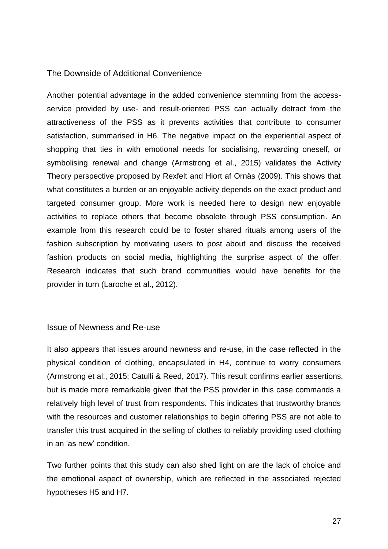#### The Downside of Additional Convenience

Another potential advantage in the added convenience stemming from the accessservice provided by use- and result-oriented PSS can actually detract from the attractiveness of the PSS as it prevents activities that contribute to consumer satisfaction, summarised in H6. The negative impact on the experiential aspect of shopping that ties in with emotional needs for socialising, rewarding oneself, or symbolising renewal and change (Armstrong et al., 2015) validates the Activity Theory perspective proposed by Rexfelt and Hiort af Ornäs (2009). This shows that what constitutes a burden or an enjoyable activity depends on the exact product and targeted consumer group. More work is needed here to design new enjoyable activities to replace others that become obsolete through PSS consumption. An example from this research could be to foster shared rituals among users of the fashion subscription by motivating users to post about and discuss the received fashion products on social media, highlighting the surprise aspect of the offer. Research indicates that such brand communities would have benefits for the provider in turn (Laroche et al., 2012).

#### Issue of Newness and Re-use

It also appears that issues around newness and re-use, in the case reflected in the physical condition of clothing, encapsulated in H4, continue to worry consumers (Armstrong et al., 2015; Catulli & Reed, 2017). This result confirms earlier assertions, but is made more remarkable given that the PSS provider in this case commands a relatively high level of trust from respondents. This indicates that trustworthy brands with the resources and customer relationships to begin offering PSS are not able to transfer this trust acquired in the selling of clothes to reliably providing used clothing in an 'as new' condition.

Two further points that this study can also shed light on are the lack of choice and the emotional aspect of ownership, which are reflected in the associated rejected hypotheses H5 and H7.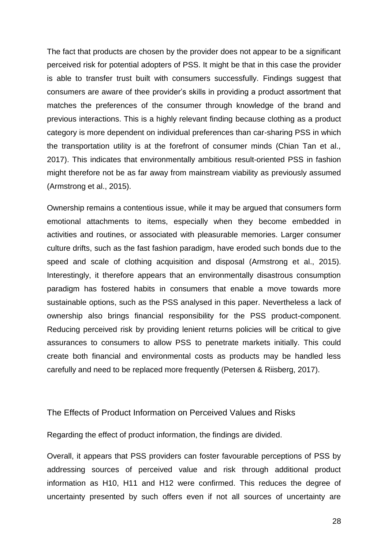The fact that products are chosen by the provider does not appear to be a significant perceived risk for potential adopters of PSS. It might be that in this case the provider is able to transfer trust built with consumers successfully. Findings suggest that consumers are aware of thee provider's skills in providing a product assortment that matches the preferences of the consumer through knowledge of the brand and previous interactions. This is a highly relevant finding because clothing as a product category is more dependent on individual preferences than car-sharing PSS in which the transportation utility is at the forefront of consumer minds (Chian Tan et al., 2017). This indicates that environmentally ambitious result-oriented PSS in fashion might therefore not be as far away from mainstream viability as previously assumed (Armstrong et al., 2015).

Ownership remains a contentious issue, while it may be argued that consumers form emotional attachments to items, especially when they become embedded in activities and routines, or associated with pleasurable memories. Larger consumer culture drifts, such as the fast fashion paradigm, have eroded such bonds due to the speed and scale of clothing acquisition and disposal (Armstrong et al., 2015). Interestingly, it therefore appears that an environmentally disastrous consumption paradigm has fostered habits in consumers that enable a move towards more sustainable options, such as the PSS analysed in this paper. Nevertheless a lack of ownership also brings financial responsibility for the PSS product-component. Reducing perceived risk by providing lenient returns policies will be critical to give assurances to consumers to allow PSS to penetrate markets initially. This could create both financial and environmental costs as products may be handled less carefully and need to be replaced more frequently (Petersen & Riisberg, 2017).

#### The Effects of Product Information on Perceived Values and Risks

Regarding the effect of product information, the findings are divided.

Overall, it appears that PSS providers can foster favourable perceptions of PSS by addressing sources of perceived value and risk through additional product information as H10, H11 and H12 were confirmed. This reduces the degree of uncertainty presented by such offers even if not all sources of uncertainty are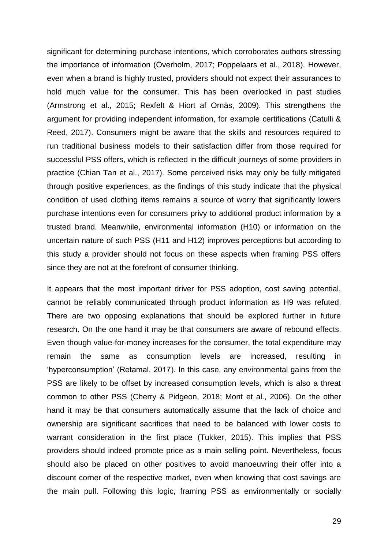significant for determining purchase intentions, which corroborates authors stressing the importance of information (Överholm, 2017; Poppelaars et al., 2018). However, even when a brand is highly trusted, providers should not expect their assurances to hold much value for the consumer. This has been overlooked in past studies (Armstrong et al., 2015; Rexfelt & Hiort af Ornäs, 2009). This strengthens the argument for providing independent information, for example certifications (Catulli & Reed, 2017). Consumers might be aware that the skills and resources required to run traditional business models to their satisfaction differ from those required for successful PSS offers, which is reflected in the difficult journeys of some providers in practice (Chian Tan et al., 2017). Some perceived risks may only be fully mitigated through positive experiences, as the findings of this study indicate that the physical condition of used clothing items remains a source of worry that significantly lowers purchase intentions even for consumers privy to additional product information by a trusted brand. Meanwhile, environmental information (H10) or information on the uncertain nature of such PSS (H11 and H12) improves perceptions but according to this study a provider should not focus on these aspects when framing PSS offers since they are not at the forefront of consumer thinking.

It appears that the most important driver for PSS adoption, cost saving potential, cannot be reliably communicated through product information as H9 was refuted. There are two opposing explanations that should be explored further in future research. On the one hand it may be that consumers are aware of rebound effects. Even though value-for-money increases for the consumer, the total expenditure may remain the same as consumption levels are increased, resulting in 'hyperconsumption' (Retamal, 2017). In this case, any environmental gains from the PSS are likely to be offset by increased consumption levels, which is also a threat common to other PSS (Cherry & Pidgeon, 2018; Mont et al., 2006). On the other hand it may be that consumers automatically assume that the lack of choice and ownership are significant sacrifices that need to be balanced with lower costs to warrant consideration in the first place (Tukker, 2015). This implies that PSS providers should indeed promote price as a main selling point. Nevertheless, focus should also be placed on other positives to avoid manoeuvring their offer into a discount corner of the respective market, even when knowing that cost savings are the main pull. Following this logic, framing PSS as environmentally or socially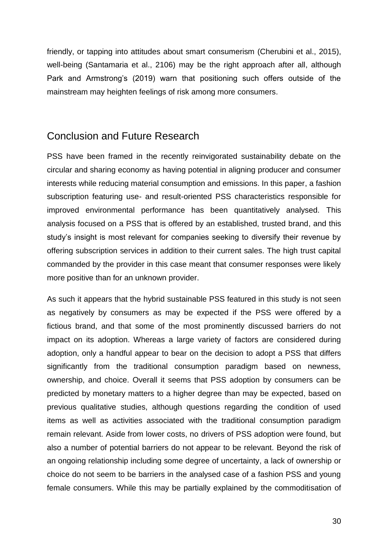friendly, or tapping into attitudes about smart consumerism (Cherubini et al., 2015), well-being (Santamaria et al., 2106) may be the right approach after all, although Park and Armstrong's (2019) warn that positioning such offers outside of the mainstream may heighten feelings of risk among more consumers.

# Conclusion and Future Research

PSS have been framed in the recently reinvigorated sustainability debate on the circular and sharing economy as having potential in aligning producer and consumer interests while reducing material consumption and emissions. In this paper, a fashion subscription featuring use- and result-oriented PSS characteristics responsible for improved environmental performance has been quantitatively analysed. This analysis focused on a PSS that is offered by an established, trusted brand, and this study's insight is most relevant for companies seeking to diversify their revenue by offering subscription services in addition to their current sales. The high trust capital commanded by the provider in this case meant that consumer responses were likely more positive than for an unknown provider.

As such it appears that the hybrid sustainable PSS featured in this study is not seen as negatively by consumers as may be expected if the PSS were offered by a fictious brand, and that some of the most prominently discussed barriers do not impact on its adoption. Whereas a large variety of factors are considered during adoption, only a handful appear to bear on the decision to adopt a PSS that differs significantly from the traditional consumption paradigm based on newness, ownership, and choice. Overall it seems that PSS adoption by consumers can be predicted by monetary matters to a higher degree than may be expected, based on previous qualitative studies, although questions regarding the condition of used items as well as activities associated with the traditional consumption paradigm remain relevant. Aside from lower costs, no drivers of PSS adoption were found, but also a number of potential barriers do not appear to be relevant. Beyond the risk of an ongoing relationship including some degree of uncertainty, a lack of ownership or choice do not seem to be barriers in the analysed case of a fashion PSS and young female consumers. While this may be partially explained by the commoditisation of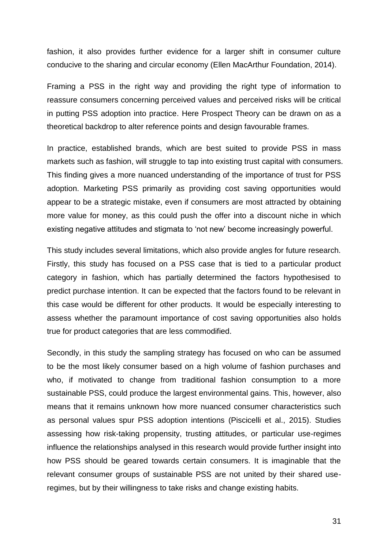fashion, it also provides further evidence for a larger shift in consumer culture conducive to the sharing and circular economy (Ellen MacArthur Foundation, 2014).

Framing a PSS in the right way and providing the right type of information to reassure consumers concerning perceived values and perceived risks will be critical in putting PSS adoption into practice. Here Prospect Theory can be drawn on as a theoretical backdrop to alter reference points and design favourable frames.

In practice, established brands, which are best suited to provide PSS in mass markets such as fashion, will struggle to tap into existing trust capital with consumers. This finding gives a more nuanced understanding of the importance of trust for PSS adoption. Marketing PSS primarily as providing cost saving opportunities would appear to be a strategic mistake, even if consumers are most attracted by obtaining more value for money, as this could push the offer into a discount niche in which existing negative attitudes and stigmata to 'not new' become increasingly powerful.

This study includes several limitations, which also provide angles for future research. Firstly, this study has focused on a PSS case that is tied to a particular product category in fashion, which has partially determined the factors hypothesised to predict purchase intention. It can be expected that the factors found to be relevant in this case would be different for other products. It would be especially interesting to assess whether the paramount importance of cost saving opportunities also holds true for product categories that are less commodified.

Secondly, in this study the sampling strategy has focused on who can be assumed to be the most likely consumer based on a high volume of fashion purchases and who, if motivated to change from traditional fashion consumption to a more sustainable PSS, could produce the largest environmental gains. This, however, also means that it remains unknown how more nuanced consumer characteristics such as personal values spur PSS adoption intentions (Piscicelli et al., 2015). Studies assessing how risk-taking propensity, trusting attitudes, or particular use-regimes influence the relationships analysed in this research would provide further insight into how PSS should be geared towards certain consumers. It is imaginable that the relevant consumer groups of sustainable PSS are not united by their shared useregimes, but by their willingness to take risks and change existing habits.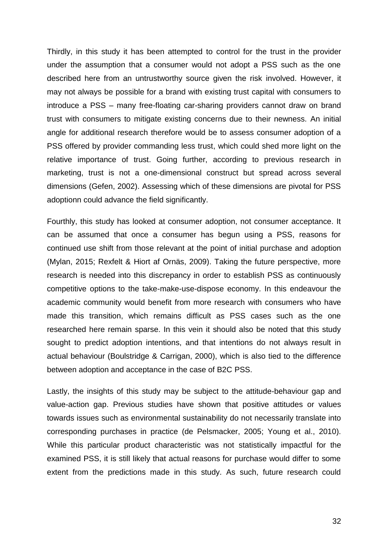Thirdly, in this study it has been attempted to control for the trust in the provider under the assumption that a consumer would not adopt a PSS such as the one described here from an untrustworthy source given the risk involved. However, it may not always be possible for a brand with existing trust capital with consumers to introduce a PSS – many free-floating car-sharing providers cannot draw on brand trust with consumers to mitigate existing concerns due to their newness. An initial angle for additional research therefore would be to assess consumer adoption of a PSS offered by provider commanding less trust, which could shed more light on the relative importance of trust. Going further, according to previous research in marketing, trust is not a one-dimensional construct but spread across several dimensions (Gefen, 2002). Assessing which of these dimensions are pivotal for PSS adoptionn could advance the field significantly.

Fourthly, this study has looked at consumer adoption, not consumer acceptance. It can be assumed that once a consumer has begun using a PSS, reasons for continued use shift from those relevant at the point of initial purchase and adoption (Mylan, 2015; Rexfelt & Hiort af Ornäs, 2009). Taking the future perspective, more research is needed into this discrepancy in order to establish PSS as continuously competitive options to the take-make-use-dispose economy. In this endeavour the academic community would benefit from more research with consumers who have made this transition, which remains difficult as PSS cases such as the one researched here remain sparse. In this vein it should also be noted that this study sought to predict adoption intentions, and that intentions do not always result in actual behaviour (Boulstridge & Carrigan, 2000), which is also tied to the difference between adoption and acceptance in the case of B2C PSS.

Lastly, the insights of this study may be subject to the attitude-behaviour gap and value-action gap. Previous studies have shown that positive attitudes or values towards issues such as environmental sustainability do not necessarily translate into corresponding purchases in practice (de Pelsmacker, 2005; Young et al., 2010). While this particular product characteristic was not statistically impactful for the examined PSS, it is still likely that actual reasons for purchase would differ to some extent from the predictions made in this study. As such, future research could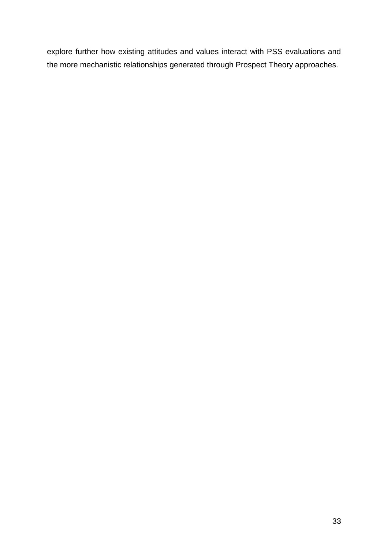explore further how existing attitudes and values interact with PSS evaluations and the more mechanistic relationships generated through Prospect Theory approaches.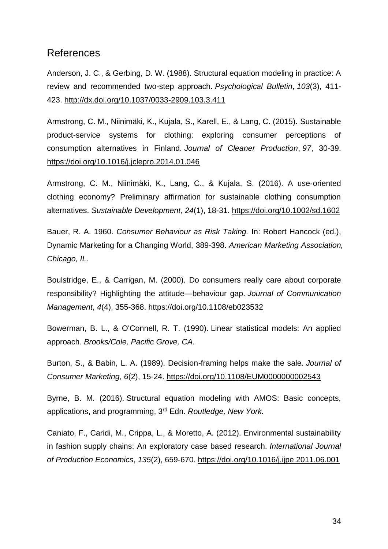## References

Anderson, J. C., & Gerbing, D. W. (1988). Structural equation modeling in practice: A review and recommended two-step approach. *Psychological Bulletin*, *103*(3), 411- 423. [http://dx.doi.org/10.1037/0033-2909.103.3.411](https://psycnet.apa.org/doi/10.1037/0033-2909.103.3.411)

Armstrong, C. M., Niinimäki, K., Kujala, S., Karell, E., & Lang, C. (2015). Sustainable product-service systems for clothing: exploring consumer perceptions of consumption alternatives in Finland. *Journal of Cleaner Production*, *97*, 30-39. <https://doi.org/10.1016/j.jclepro.2014.01.046>

Armstrong, C. M., Niinimäki, K., Lang, C., & Kujala, S. (2016). A use‐oriented clothing economy? Preliminary affirmation for sustainable clothing consumption alternatives. *Sustainable Development*, *24*(1), 18-31.<https://doi.org/10.1002/sd.1602>

Bauer, R. A. 1960. *Consumer Behaviour as Risk Taking.* In: Robert Hancock (ed.), Dynamic Marketing for a Changing World, 389-398. *American Marketing Association, Chicago, IL.*

Boulstridge, E., & Carrigan, M. (2000). Do consumers really care about corporate responsibility? Highlighting the attitude—behaviour gap. *Journal of Communication Management*, *4*(4), 355-368.<https://doi.org/10.1108/eb023532>

Bowerman, B. L., & O'Connell, R. T. (1990). Linear statistical models: An applied approach. *Brooks/Cole, Pacific Grove, CA.*

Burton, S., & Babin, L. A. (1989). Decision-framing helps make the sale. *Journal of Consumer Marketing*, *6*(2), 15-24.<https://doi.org/10.1108/EUM0000000002543>

Byrne, B. M. (2016). Structural equation modeling with AMOS: Basic concepts, applications, and programming, 3rd Edn. *Routledge, New York.*

Caniato, F., Caridi, M., Crippa, L., & Moretto, A. (2012). Environmental sustainability in fashion supply chains: An exploratory case based research. *International Journal of Production Economics*, *135*(2), 659-670.<https://doi.org/10.1016/j.ijpe.2011.06.001>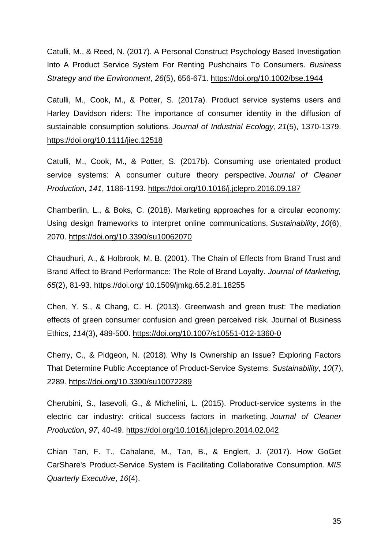Catulli, M., & Reed, N. (2017). A Personal Construct Psychology Based Investigation Into A Product Service System For Renting Pushchairs To Consumers. *Business Strategy and the Environment*, *26*(5), 656-671.<https://doi.org/10.1002/bse.1944>

Catulli, M., Cook, M., & Potter, S. (2017a). Product service systems users and Harley Davidson riders: The importance of consumer identity in the diffusion of sustainable consumption solutions. *Journal of Industrial Ecology*, *21*(5), 1370-1379. <https://doi.org/10.1111/jiec.12518>

Catulli, M., Cook, M., & Potter, S. (2017b). Consuming use orientated product service systems: A consumer culture theory perspective. *Journal of Cleaner Production*, *141*, 1186-1193.<https://doi.org/10.1016/j.jclepro.2016.09.187>

Chamberlin, L., & Boks, C. (2018). Marketing approaches for a circular economy: Using design frameworks to interpret online communications. *Sustainability*, *10*(6), 2070.<https://doi.org/10.3390/su10062070>

Chaudhuri, A., & Holbrook, M. B. (2001). The Chain of Effects from Brand Trust and Brand Affect to Brand Performance: The Role of Brand Loyalty. *Journal of Marketing, 65*(2), 81-93. [https://doi.org/](https://doi.org/%2010.1509/jmkg.65.2.81.18255) [10.1509/jmkg.65.2.81.18255](https://doi.org/%2010.1509/jmkg.65.2.81.18255)

Chen, Y. S., & Chang, C. H. (2013). Greenwash and green trust: The mediation effects of green consumer confusion and green perceived risk. Journal of Business Ethics, *114*(3), 489-500.<https://doi.org/10.1007/s10551-012-1360-0>

Cherry, C., & Pidgeon, N. (2018). Why Is Ownership an Issue? Exploring Factors That Determine Public Acceptance of Product-Service Systems. *Sustainability*, *10*(7), 2289.<https://doi.org/10.3390/su10072289>

Cherubini, S., Iasevoli, G., & Michelini, L. (2015). Product-service systems in the electric car industry: critical success factors in marketing. *Journal of Cleaner Production*, *97*, 40-49.<https://doi.org/10.1016/j.jclepro.2014.02.042>

Chian Tan, F. T., Cahalane, M., Tan, B., & Englert, J. (2017). How GoGet CarShare's Product-Service System is Facilitating Collaborative Consumption. *MIS Quarterly Executive*, *16*(4).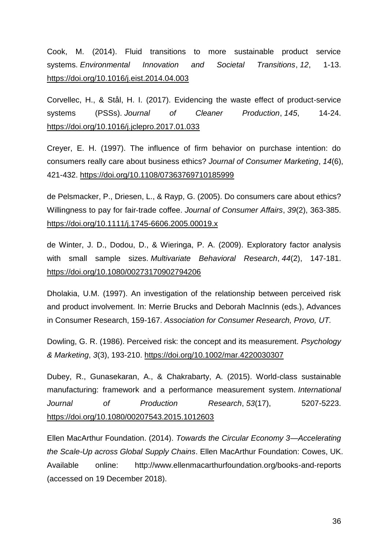Cook, M. (2014). Fluid transitions to more sustainable product service systems. *Environmental Innovation and Societal Transitions*, *12*, 1-13. <https://doi.org/10.1016/j.eist.2014.04.003>

Corvellec, H., & Stål, H. I. (2017). Evidencing the waste effect of product-service systems (PSSs). *Journal of Cleaner Production*, *145*, 14-24. <https://doi.org/10.1016/j.jclepro.2017.01.033>

Creyer, E. H. (1997). The influence of firm behavior on purchase intention: do consumers really care about business ethics? *Journal of Consumer Marketing*, *14*(6), 421-432.<https://doi.org/10.1108/07363769710185999>

de Pelsmacker, P., Driesen, L., & Rayp, G. (2005). Do consumers care about ethics? Willingness to pay for fair‐trade coffee. *Journal of Consumer Affairs*, *39*(2), 363-385. https://doi.org/10.1111/j.1745-6606.2005.00019.x

de Winter, J. D., Dodou, D., & Wieringa, P. A. (2009). Exploratory factor analysis with small sample sizes. *Multivariate Behavioral Research*, *44*(2), 147-181. <https://doi.org/10.1080/00273170902794206>

Dholakia, U.M. (1997). An investigation of the relationship between perceived risk and product involvement. In: Merrie Brucks and Deborah MacInnis (eds.), Advances in Consumer Research, 159-167. *Association for Consumer Research, Provo, UT.*

Dowling, G. R. (1986). Perceived risk: the concept and its measurement. *Psychology & Marketing*, *3*(3), 193-210.<https://doi.org/10.1002/mar.4220030307>

Dubey, R., Gunasekaran, A., & Chakrabarty, A. (2015). World-class sustainable manufacturing: framework and a performance measurement system. *International Journal of Production Research*, *53*(17), 5207-5223. <https://doi.org/10.1080/00207543.2015.1012603>

Ellen MacArthur Foundation. (2014). *Towards the Circular Economy 3—Accelerating the Scale-Up across Global Supply Chains*. Ellen MacArthur Foundation: Cowes, UK. Available online: http://www.ellenmacarthurfoundation.org/books-and-reports (accessed on 19 December 2018).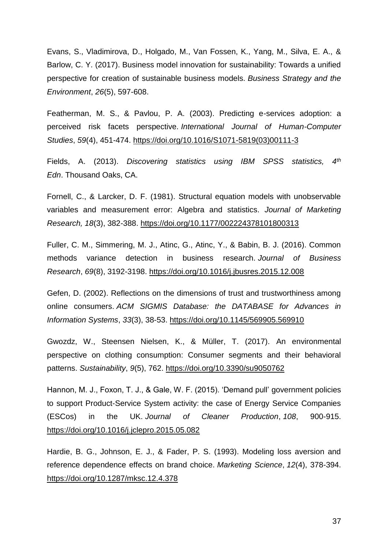Evans, S., Vladimirova, D., Holgado, M., Van Fossen, K., Yang, M., Silva, E. A., & Barlow, C. Y. (2017). Business model innovation for sustainability: Towards a unified perspective for creation of sustainable business models. *Business Strategy and the Environment*, *26*(5), 597-608.

Featherman, M. S., & Pavlou, P. A. (2003). Predicting e-services adoption: a perceived risk facets perspective. *International Journal of Human-Computer Studies*, *59*(4), 451-474. [https://doi.org/10.1016/S1071-5819\(03\)00111-3](https://doi.org/10.1016/S1071-5819(03)00111-3)

Fields, A. (2013). *Discovering statistics using IBM SPSS statistics, 4th Edn*. Thousand Oaks, CA.

Fornell, C., & Larcker, D. F. (1981). Structural equation models with unobservable variables and measurement error: Algebra and statistics. *Journal of Marketing Research, 18*(3), 382-388. [https://doi.org/10.1177/002224378101800313](https://doi.org/10.1177%2F002224378101800313)

Fuller, C. M., Simmering, M. J., Atinc, G., Atinc, Y., & Babin, B. J. (2016). Common methods variance detection in business research. *Journal of Business Research*, *69*(8), 3192-3198.<https://doi.org/10.1016/j.jbusres.2015.12.008>

Gefen, D. (2002). Reflections on the dimensions of trust and trustworthiness among online consumers. *ACM SIGMIS Database: the DATABASE for Advances in Information Systems*, *33*(3), 38-53.<https://doi.org/10.1145/569905.569910>

Gwozdz, W., Steensen Nielsen, K., & Müller, T. (2017). An environmental perspective on clothing consumption: Consumer segments and their behavioral patterns. *Sustainability*, *9*(5), 762.<https://doi.org/10.3390/su9050762>

Hannon, M. J., Foxon, T. J., & Gale, W. F. (2015). 'Demand pull' government policies to support Product-Service System activity: the case of Energy Service Companies (ESCos) in the UK. *Journal of Cleaner Production*, *108*, 900-915. <https://doi.org/10.1016/j.jclepro.2015.05.082>

Hardie, B. G., Johnson, E. J., & Fader, P. S. (1993). Modeling loss aversion and reference dependence effects on brand choice. *Marketing Science*, *12*(4), 378-394. <https://doi.org/10.1287/mksc.12.4.378>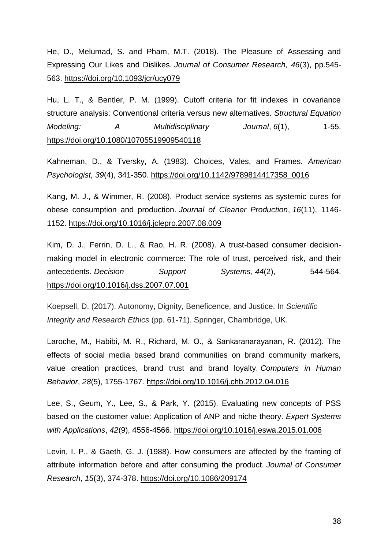He, D., Melumad, S. and Pham, M.T. (2018). The Pleasure of Assessing and Expressing Our Likes and Dislikes. *Journal of Consumer Research, 46*(3), pp.545- 563.<https://doi.org/10.1093/jcr/ucy079>

Hu, L. T., & Bentler, P. M. (1999). Cutoff criteria for fit indexes in covariance structure analysis: Conventional criteria versus new alternatives. *Structural Equation Modeling:* A *Multidisciplinary Journal, 6*(1), 1-55. <https://doi.org/10.1080/10705519909540118>

Kahneman, D., & Tversky, A. (1983). Choices, Vales, and Frames. *American Psychologist, 39*(4), 341-350. [https://doi.org/10.1142/9789814417358\\_0016](https://doi.org/10.1142/9789814417358_0016)

Kang, M. J., & Wimmer, R. (2008). Product service systems as systemic cures for obese consumption and production. *Journal of Cleaner Production*, *16*(11), 1146- 1152.<https://doi.org/10.1016/j.jclepro.2007.08.009>

Kim, D. J., Ferrin, D. L., & Rao, H. R. (2008). A trust-based consumer decisionmaking model in electronic commerce: The role of trust, perceived risk, and their antecedents. *Decision Support Systems*, *44*(2), 544-564. <https://doi.org/10.1016/j.dss.2007.07.001>

Koepsell, D. (2017). Autonomy, Dignity, Beneficence, and Justice. In *Scientific Integrity and Research Ethics* (pp. 61-71). Springer, Chambridge, UK.

Laroche, M., Habibi, M. R., Richard, M. O., & Sankaranarayanan, R. (2012). The effects of social media based brand communities on brand community markers, value creation practices, brand trust and brand loyalty. *Computers in Human Behavior*, *28*(5), 1755-1767. <https://doi.org/10.1016/j.chb.2012.04.016>

Lee, S., Geum, Y., Lee, S., & Park, Y. (2015). Evaluating new concepts of PSS based on the customer value: Application of ANP and niche theory. *Expert Systems with Applications*, *42*(9), 4556-4566.<https://doi.org/10.1016/j.eswa.2015.01.006>

Levin, I. P., & Gaeth, G. J. (1988). How consumers are affected by the framing of attribute information before and after consuming the product. *Journal of Consumer Research*, *15*(3), 374-378.<https://doi.org/10.1086/209174>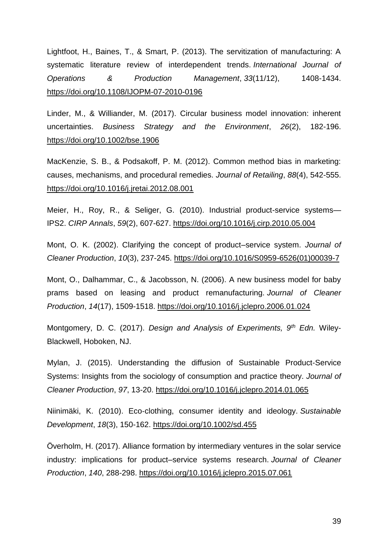Lightfoot, H., Baines, T., & Smart, P. (2013). The servitization of manufacturing: A systematic literature review of interdependent trends. *International Journal of Operations & Production Management*, *33*(11/12), 1408-1434. <https://doi.org/10.1108/IJOPM-07-2010-0196>

Linder, M., & Williander, M. (2017). Circular business model innovation: inherent uncertainties. *Business Strategy and the Environment*, *26*(2), 182-196. <https://doi.org/10.1002/bse.1906>

MacKenzie, S. B., & Podsakoff, P. M. (2012). Common method bias in marketing: causes, mechanisms, and procedural remedies. *Journal of Retailing*, *88*(4), 542-555. <https://doi.org/10.1016/j.jretai.2012.08.001>

Meier, H., Roy, R., & Seliger, G. (2010). Industrial product-service systems— IPS2. *CIRP Annals*, *59*(2), 607-627.<https://doi.org/10.1016/j.cirp.2010.05.004>

Mont, O. K. (2002). Clarifying the concept of product–service system. *Journal of Cleaner Production*, *10*(3), 237-245. [https://doi.org/10.1016/S0959-6526\(01\)00039-7](https://doi.org/10.1016/S0959-6526(01)00039-7)

Mont, O., Dalhammar, C., & Jacobsson, N. (2006). A new business model for baby prams based on leasing and product remanufacturing. *Journal of Cleaner Production*, *14*(17), 1509-1518.<https://doi.org/10.1016/j.jclepro.2006.01.024>

Montgomery, D. C. (2017). *Design and Analysis of Experiments, 9th Edn.* Wiley-Blackwell, Hoboken, NJ.

Mylan, J. (2015). Understanding the diffusion of Sustainable Product-Service Systems: Insights from the sociology of consumption and practice theory. *Journal of Cleaner Production*, *97*, 13-20.<https://doi.org/10.1016/j.jclepro.2014.01.065>

Niinimäki, K. (2010). Eco‐clothing, consumer identity and ideology. *Sustainable Development*, *18*(3), 150-162.<https://doi.org/10.1002/sd.455>

Överholm, H. (2017). Alliance formation by intermediary ventures in the solar service industry: implications for product–service systems research. *Journal of Cleaner Production*, *140*, 288-298.<https://doi.org/10.1016/j.jclepro.2015.07.061>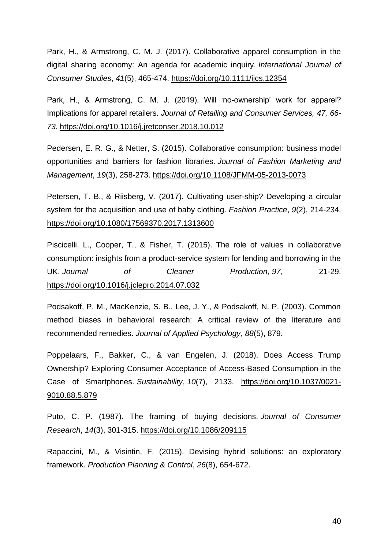Park, H., & Armstrong, C. M. J. (2017). Collaborative apparel consumption in the digital sharing economy: An agenda for academic inquiry. *International Journal of Consumer Studies*, *41*(5), 465-474.<https://doi.org/10.1111/ijcs.12354>

Park, H., & Armstrong, C. M. J. (2019). Will 'no-ownership' work for apparel? Implications for apparel retailers. *Journal of Retailing and Consumer Services, 47, 66- 73.* <https://doi.org/10.1016/j.jretconser.2018.10.012>

Pedersen, E. R. G., & Netter, S. (2015). Collaborative consumption: business model opportunities and barriers for fashion libraries. *Journal of Fashion Marketing and Management*, *19*(3), 258-273.<https://doi.org/10.1108/JFMM-05-2013-0073>

Petersen, T. B., & Riisberg, V. (2017). Cultivating user-ship? Developing a circular system for the acquisition and use of baby clothing. *Fashion Practice*, *9*(2), 214-234. <https://doi.org/10.1080/17569370.2017.1313600>

Piscicelli, L., Cooper, T., & Fisher, T. (2015). The role of values in collaborative consumption: insights from a product-service system for lending and borrowing in the UK. Journal of Cleaner Production, 97, 21-29. <https://doi.org/10.1016/j.jclepro.2014.07.032>

Podsakoff, P. M., MacKenzie, S. B., Lee, J. Y., & Podsakoff, N. P. (2003). Common method biases in behavioral research: A critical review of the literature and recommended remedies. *Journal of Applied Psychology*, *88*(5), 879.

Poppelaars, F., Bakker, C., & van Engelen, J. (2018). Does Access Trump Ownership? Exploring Consumer Acceptance of Access-Based Consumption in the Case of Smartphones. *Sustainability*, *10*(7), 2133. [https://doi.org/10.1037/0021-](https://doi.org/10.1037/0021-9010.88.5.879) [9010.88.5.879](https://doi.org/10.1037/0021-9010.88.5.879)

Puto, C. P. (1987). The framing of buying decisions. *Journal of Consumer Research*, *14*(3), 301-315.<https://doi.org/10.1086/209115>

Rapaccini, M., & Visintin, F. (2015). Devising hybrid solutions: an exploratory framework. *Production Planning & Control*, *26*(8), 654-672.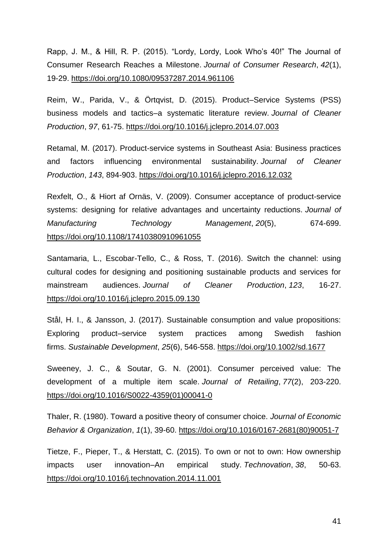Rapp, J. M., & Hill, R. P. (2015). "Lordy, Lordy, Look Who's 40!" The Journal of Consumer Research Reaches a Milestone. *Journal of Consumer Research*, *42*(1), 19-29.<https://doi.org/10.1080/09537287.2014.961106>

Reim, W., Parida, V., & Örtqvist, D. (2015). Product–Service Systems (PSS) business models and tactics–a systematic literature review. *Journal of Cleaner Production*, *97*, 61-75.<https://doi.org/10.1016/j.jclepro.2014.07.003>

Retamal, M. (2017). Product-service systems in Southeast Asia: Business practices and factors influencing environmental sustainability. *Journal of Cleaner Production*, *143*, 894-903.<https://doi.org/10.1016/j.jclepro.2016.12.032>

Rexfelt, O., & Hiort af Ornäs, V. (2009). Consumer acceptance of product-service systems: designing for relative advantages and uncertainty reductions. *Journal of Manufacturing Technology Management*, *20*(5), 674-699. <https://doi.org/10.1108/17410380910961055>

Santamaria, L., Escobar-Tello, C., & Ross, T. (2016). Switch the channel: using cultural codes for designing and positioning sustainable products and services for mainstream audiences. *Journal of Cleaner Production*, *123*, 16-27. <https://doi.org/10.1016/j.jclepro.2015.09.130>

Stål, H. I., & Jansson, J. (2017). Sustainable consumption and value propositions: Exploring product–service system practices among Swedish fashion firms. *Sustainable Development*, *25*(6), 546-558.<https://doi.org/10.1002/sd.1677>

Sweeney, J. C., & Soutar, G. N. (2001). Consumer perceived value: The development of a multiple item scale. *Journal of Retailing*, *77*(2), 203-220. [https://doi.org/10.1016/S0022-4359\(01\)00041-0](https://doi.org/10.1016/S0022-4359(01)00041-0)

Thaler, R. (1980). Toward a positive theory of consumer choice. *Journal of Economic Behavior & Organization*, *1*(1), 39-60. [https://doi.org/10.1016/0167-2681\(80\)90051-7](https://doi.org/10.1016/0167-2681(80)90051-7)

Tietze, F., Pieper, T., & Herstatt, C. (2015). To own or not to own: How ownership impacts user innovation–An empirical study. *Technovation*, *38*, 50-63. <https://doi.org/10.1016/j.technovation.2014.11.001>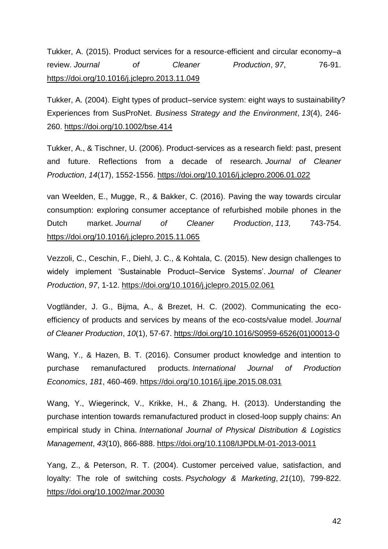Tukker, A. (2015). Product services for a resource-efficient and circular economy–a review. *Journal of Cleaner Production*, *97*, 76-91. <https://doi.org/10.1016/j.jclepro.2013.11.049>

Tukker, A. (2004). Eight types of product–service system: eight ways to sustainability? Experiences from SusProNet. *Business Strategy and the Environment*, *13*(4), 246- 260.<https://doi.org/10.1002/bse.414>

Tukker, A., & Tischner, U. (2006). Product-services as a research field: past, present and future. Reflections from a decade of research. *Journal of Cleaner Production*, *14*(17), 1552-1556.<https://doi.org/10.1016/j.jclepro.2006.01.022>

van Weelden, E., Mugge, R., & Bakker, C. (2016). Paving the way towards circular consumption: exploring consumer acceptance of refurbished mobile phones in the Dutch market. *Journal of Cleaner Production*, *113*, 743-754. <https://doi.org/10.1016/j.jclepro.2015.11.065>

Vezzoli, C., Ceschin, F., Diehl, J. C., & Kohtala, C. (2015). New design challenges to widely implement 'Sustainable Product–Service Systems'. *Journal of Cleaner Production*, *97*, 1-12.<https://doi.org/10.1016/j.jclepro.2015.02.061>

Vogtländer, J. G., Bijma, A., & Brezet, H. C. (2002). Communicating the ecoefficiency of products and services by means of the eco-costs/value model. *Journal of Cleaner Production*, *10*(1), 57-67. [https://doi.org/10.1016/S0959-6526\(01\)00013-0](https://doi.org/10.1016/S0959-6526(01)00013-0)

Wang, Y., & Hazen, B. T. (2016). Consumer product knowledge and intention to purchase remanufactured products. *International Journal of Production Economics*, *181*, 460-469.<https://doi.org/10.1016/j.ijpe.2015.08.031>

Wang, Y., Wiegerinck, V., Krikke, H., & Zhang, H. (2013). Understanding the purchase intention towards remanufactured product in closed-loop supply chains: An empirical study in China. *International Journal of Physical Distribution & Logistics Management*, *43*(10), 866-888.<https://doi.org/10.1108/IJPDLM-01-2013-0011>

Yang, Z., & Peterson, R. T. (2004). Customer perceived value, satisfaction, and loyalty: The role of switching costs. *Psychology & Marketing*, *21*(10), 799-822. <https://doi.org/10.1002/mar.20030>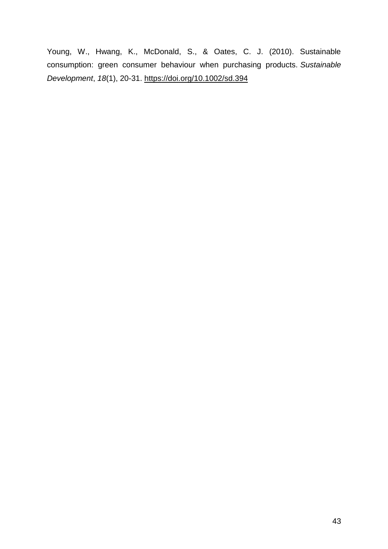Young, W., Hwang, K., McDonald, S., & Oates, C. J. (2010). Sustainable consumption: green consumer behaviour when purchasing products. *Sustainable Development*, *18*(1), 20-31. https://doi.org/10.1002/sd.394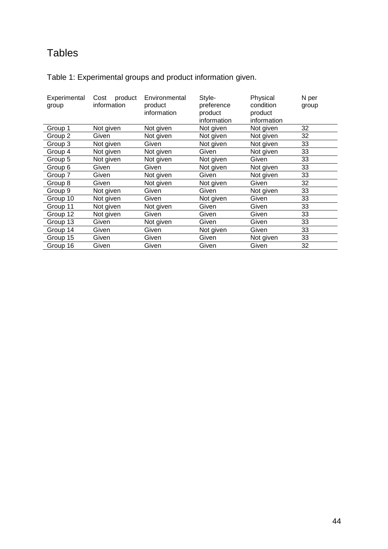# Tables

Table 1: Experimental groups and product information given.

| Experimental<br>group | Cost<br>product<br>information | Environmental<br>product<br>information | Style-<br>preference<br>product<br>information | Physical<br>condition<br>product<br>information | N per<br>group |
|-----------------------|--------------------------------|-----------------------------------------|------------------------------------------------|-------------------------------------------------|----------------|
| Group 1               | Not given                      | Not given                               | Not given                                      | Not given                                       | 32             |
| Group 2               | Given                          | Not given                               | Not given                                      | Not given                                       | 32             |
| Group 3               | Not given                      | Given                                   | Not given                                      | Not given                                       | 33             |
| Group 4               | Not given                      | Not given                               | Given                                          | Not given                                       | 33             |
| Group 5               | Not given                      | Not given                               | Not given                                      | Given                                           | 33             |
| Group 6               | Given                          | Given                                   | Not given                                      | Not given                                       | 33             |
| Group 7               | Given                          | Not given                               | Given                                          | Not given                                       | 33             |
| Group 8               | Given                          | Not given                               | Not given                                      | Given                                           | 32             |
| Group 9               | Not given                      | Given                                   | Given                                          | Not given                                       | 33             |
| Group 10              | Not given                      | Given                                   | Not given                                      | Given                                           | 33             |
| Group 11              | Not given                      | Not given                               | Given                                          | Given                                           | 33             |
| Group 12              | Not given                      | Given                                   | Given                                          | Given                                           | 33             |
| Group 13              | Given                          | Not given                               | Given                                          | Given                                           | 33             |
| Group 14              | Given                          | Given                                   | Not given                                      | Given                                           | 33             |
| Group 15              | Given                          | Given                                   | Given                                          | Not given                                       | 33             |
| Group 16              | Given                          | Given                                   | Given                                          | Given                                           | 32             |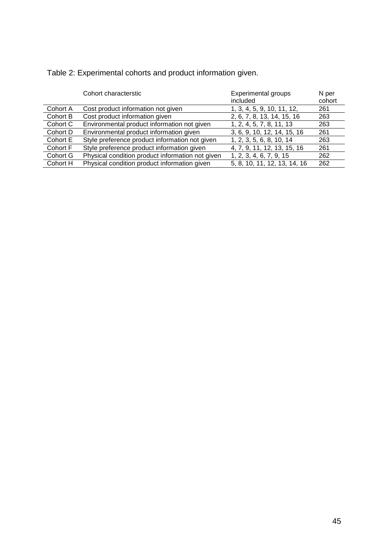Table 2: Experimental cohorts and product information given.

|          | Cohort characterstic                             | <b>Experimental groups</b><br>included | N per<br>cohort |
|----------|--------------------------------------------------|----------------------------------------|-----------------|
| Cohort A | Cost product information not given               | 1, 3, 4, 5, 9, 10, 11, 12,             | 261             |
| Cohort B | Cost product information given                   | 2, 6, 7, 8, 13, 14, 15, 16             | 263             |
| Cohort C | Environmental product information not given      | 1, 2, 4, 5, 7, 8, 11, 13               | 263             |
| Cohort D | Environmental product information given          | 3, 6, 9, 10, 12, 14, 15, 16            | 261             |
| Cohort E | Style preference product information not given   | 1, 2, 3, 5, 6, 8, 10, 14               | 263             |
| Cohort F | Style preference product information given       | 4, 7, 9, 11, 12, 13, 15, 16            | 261             |
| Cohort G | Physical condition product information not given | 1, 2, 3, 4, 6, 7, 9, 15                | 262             |
| Cohort H | Physical condition product information given     | 5, 8, 10, 11, 12, 13, 14, 16           | 262             |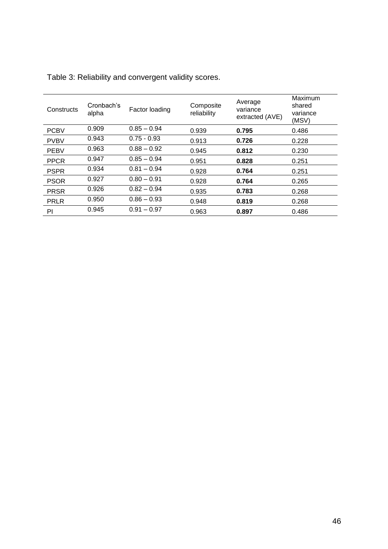| Constructs  | Cronbach's<br>alpha | Factor loading | Composite<br>reliability | Average<br>variance<br>extracted (AVE) | Maximum<br>shared<br>variance<br>(MSV) |
|-------------|---------------------|----------------|--------------------------|----------------------------------------|----------------------------------------|
| <b>PCBV</b> | 0.909               | $0.85 - 0.94$  | 0.939                    | 0.795                                  | 0.486                                  |
| <b>PVBV</b> | 0.943               | $0.75 - 0.93$  | 0.913                    | 0.726                                  | 0.228                                  |
| <b>PEBV</b> | 0.963               | $0.88 - 0.92$  | 0.945                    | 0.812                                  | 0.230                                  |
| <b>PPCR</b> | 0.947               | $0.85 - 0.94$  | 0.951                    | 0.828                                  | 0.251                                  |
| <b>PSPR</b> | 0.934               | $0.81 - 0.94$  | 0.928                    | 0.764                                  | 0.251                                  |
| <b>PSOR</b> | 0.927               | $0.80 - 0.91$  | 0.928                    | 0.764                                  | 0.265                                  |
| <b>PRSR</b> | 0.926               | $0.82 - 0.94$  | 0.935                    | 0.783                                  | 0.268                                  |
| <b>PRLR</b> | 0.950               | $0.86 - 0.93$  | 0.948                    | 0.819                                  | 0.268                                  |
| PI          | 0.945               | $0.91 - 0.97$  | 0.963                    | 0.897                                  | 0.486                                  |

Table 3: Reliability and convergent validity scores.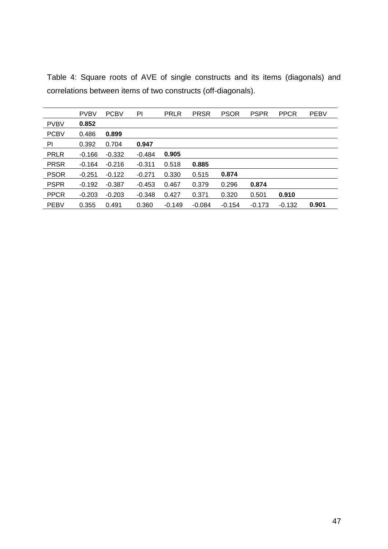|             | <b>PVBV</b> | <b>PCBV</b> | PI       | <b>PRLR</b> | <b>PRSR</b> | <b>PSOR</b> | <b>PSPR</b> | <b>PPCR</b> | <b>PEBV</b> |
|-------------|-------------|-------------|----------|-------------|-------------|-------------|-------------|-------------|-------------|
| <b>PVBV</b> | 0.852       |             |          |             |             |             |             |             |             |
| <b>PCBV</b> | 0.486       | 0.899       |          |             |             |             |             |             |             |
| PI          | 0.392       | 0.704       | 0.947    |             |             |             |             |             |             |
| <b>PRLR</b> | $-0.166$    | $-0.332$    | $-0.484$ | 0.905       |             |             |             |             |             |
| <b>PRSR</b> | $-0.164$    | $-0.216$    | $-0.311$ | 0.518       | 0.885       |             |             |             |             |
| <b>PSOR</b> | $-0.251$    | $-0.122$    | $-0.271$ | 0.330       | 0.515       | 0.874       |             |             |             |
| <b>PSPR</b> | $-0.192$    | $-0.387$    | $-0.453$ | 0.467       | 0.379       | 0.296       | 0.874       |             |             |
| <b>PPCR</b> | $-0.203$    | $-0.203$    | $-0.348$ | 0.427       | 0.371       | 0.320       | 0.501       | 0.910       |             |
| <b>PEBV</b> | 0.355       | 0.491       | 0.360    | $-0.149$    | $-0.084$    | $-0.154$    | $-0.173$    | $-0.132$    | 0.901       |

Table 4: Square roots of AVE of single constructs and its items (diagonals) and correlations between items of two constructs (off-diagonals).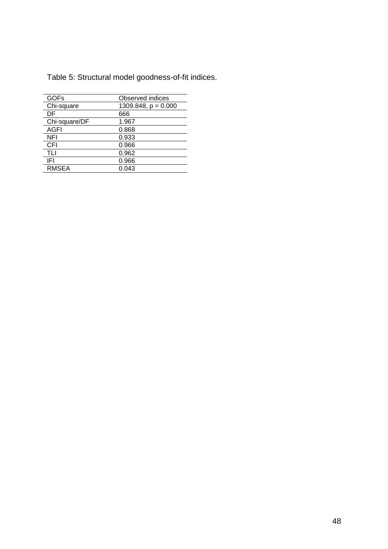| <b>GOFs</b>   | Observed indices      |
|---------------|-----------------------|
| Chi-square    | 1309.848, $p = 0.000$ |
| DF            | 666                   |
| Chi-square/DF | 1.967                 |
| <b>AGFI</b>   | 0.868                 |
| NFI           | 0.933                 |
| <b>CFI</b>    | 0.966                 |
| TLI           | 0.962                 |
| IFI           | 0.966                 |
| <b>RMSEA</b>  | 0.043                 |

Table 5: Structural model goodness-of-fit indices.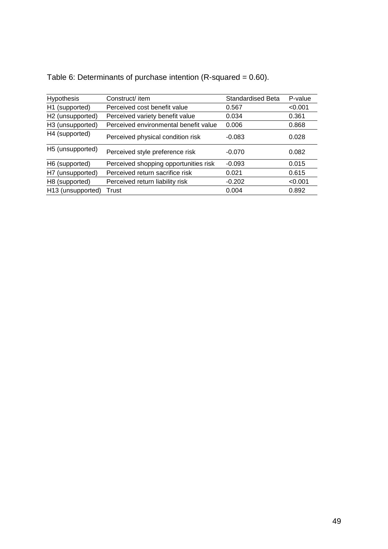| <b>Hypothesis</b>             | Construct/ item                       | <b>Standardised Beta</b> | P-value |
|-------------------------------|---------------------------------------|--------------------------|---------|
| H1 (supported)                | Perceived cost benefit value          | 0.567                    | < 0.001 |
| H <sub>2</sub> (unsupported)  | Perceived variety benefit value       | 0.034                    | 0.361   |
| H3 (unsupported)              | Perceived environmental benefit value | 0.006                    | 0.868   |
| H4 (supported)                | Perceived physical condition risk     | $-0.083$                 | 0.028   |
| H <sub>5</sub> (unsupported)  | Perceived style preference risk       | $-0.070$                 | 0.082   |
| H6 (supported)                | Perceived shopping opportunities risk | $-0.093$                 | 0.015   |
| H7 (unsupported)              | Perceived return sacrifice risk       | 0.021                    | 0.615   |
| H8 (supported)                | Perceived return liability risk       | $-0.202$                 | < 0.001 |
| H <sub>13</sub> (unsupported) | Trust                                 | 0.004                    | 0.892   |

| Table 6: Determinants of purchase intention (R-squared = $0.60$ ). |  |
|--------------------------------------------------------------------|--|
|                                                                    |  |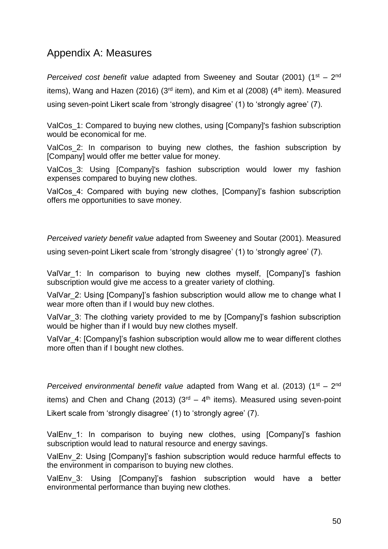# Appendix A: Measures

Perceived cost benefit value adapted from Sweeney and Soutar (2001) (1<sup>st</sup> – 2<sup>nd</sup> items), Wang and Hazen (2016) ( $3<sup>rd</sup>$  item), and Kim et al (2008) ( $4<sup>th</sup>$  item). Measured using seven-point Likert scale from 'strongly disagree' (1) to 'strongly agree' (7).

ValCos 1: Compared to buying new clothes, using [Company]'s fashion subscription would be economical for me.

ValCos 2: In comparison to buying new clothes, the fashion subscription by [Company] would offer me better value for money.

ValCos 3: Using [Company]'s fashion subscription would lower my fashion expenses compared to buying new clothes.

ValCos 4: Compared with buying new clothes, [Company]'s fashion subscription offers me opportunities to save money.

*Perceived variety benefit value* adapted from Sweeney and Soutar (2001). Measured

using seven-point Likert scale from 'strongly disagree' (1) to 'strongly agree' (7).

ValVar\_1: In comparison to buying new clothes myself, [Company]'s fashion subscription would give me access to a greater variety of clothing.

ValVar 2: Using [Company]'s fashion subscription would allow me to change what I wear more often than if I would buy new clothes.

ValVar 3: The clothing variety provided to me by [Company]'s fashion subscription would be higher than if I would buy new clothes myself.

ValVar\_4: [Company]'s fashion subscription would allow me to wear different clothes more often than if I bought new clothes.

Perceived environmental benefit value adapted from Wang et al. (2013) (1<sup>st</sup> – 2<sup>nd</sup> items) and Chen and Chang (2013)  $(3<sup>rd</sup> - 4<sup>th</sup>$  items). Measured using seven-point Likert scale from 'strongly disagree' (1) to 'strongly agree' (7).

ValEnv 1: In comparison to buying new clothes, using [Company]'s fashion subscription would lead to natural resource and energy savings.

ValEnv 2: Using [Company]'s fashion subscription would reduce harmful effects to the environment in comparison to buying new clothes.

ValEnv 3: Using [Company]'s fashion subscription would have a better environmental performance than buying new clothes.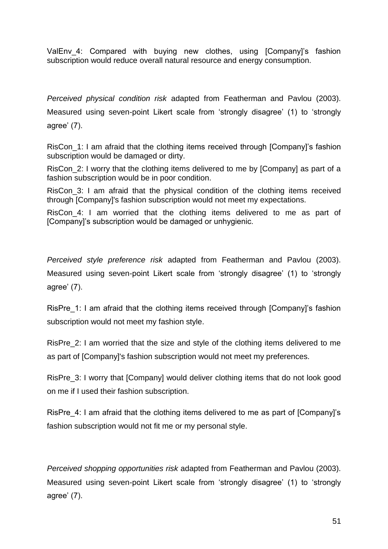ValEnv 4: Compared with buying new clothes, using [Company]'s fashion subscription would reduce overall natural resource and energy consumption.

*Perceived physical condition risk* adapted from Featherman and Pavlou (2003). Measured using seven-point Likert scale from 'strongly disagree' (1) to 'strongly agree' (7).

RisCon 1: I am afraid that the clothing items received through [Company]'s fashion subscription would be damaged or dirty.

RisCon 2: I worry that the clothing items delivered to me by [Company] as part of a fashion subscription would be in poor condition.

RisCon\_3: I am afraid that the physical condition of the clothing items received through [Company]'s fashion subscription would not meet my expectations.

RisCon 4: I am worried that the clothing items delivered to me as part of [Company]'s subscription would be damaged or unhygienic.

*Perceived style preference risk* adapted from Featherman and Pavlou (2003). Measured using seven-point Likert scale from 'strongly disagree' (1) to 'strongly agree' (7).

RisPre 1: I am afraid that the clothing items received through [Company]'s fashion subscription would not meet my fashion style.

RisPre\_2: I am worried that the size and style of the clothing items delivered to me as part of [Company]'s fashion subscription would not meet my preferences.

RisPre 3: I worry that [Company] would deliver clothing items that do not look good on me if I used their fashion subscription.

RisPre 4: I am afraid that the clothing items delivered to me as part of [Company]'s fashion subscription would not fit me or my personal style.

*Perceived shopping opportunities risk* adapted from Featherman and Pavlou (2003). Measured using seven-point Likert scale from 'strongly disagree' (1) to 'strongly agree' (7).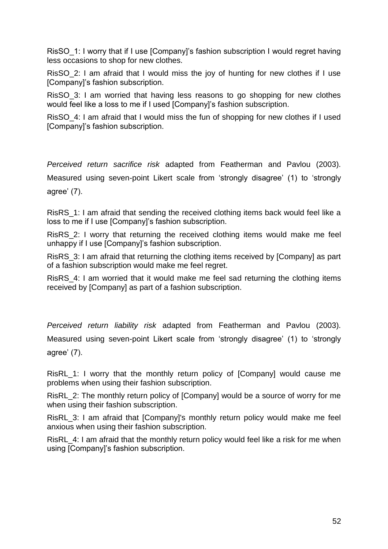RisSO\_1: I worry that if I use [Company]'s fashion subscription I would regret having less occasions to shop for new clothes.

RisSO\_2: I am afraid that I would miss the joy of hunting for new clothes if I use [Company]'s fashion subscription.

RisSO\_3: I am worried that having less reasons to go shopping for new clothes would feel like a loss to me if I used [Company]'s fashion subscription.

RisSO\_4: I am afraid that I would miss the fun of shopping for new clothes if I used [Company]'s fashion subscription.

*Perceived return sacrifice risk* adapted from Featherman and Pavlou (2003). Measured using seven-point Likert scale from 'strongly disagree' (1) to 'strongly agree' (7).

RisRS\_1: I am afraid that sending the received clothing items back would feel like a loss to me if I use [Company]'s fashion subscription.

RisRS\_2: I worry that returning the received clothing items would make me feel unhappy if I use [Company]'s fashion subscription.

RisRS\_3: I am afraid that returning the clothing items received by [Company] as part of a fashion subscription would make me feel regret.

RisRS\_4: I am worried that it would make me feel sad returning the clothing items received by [Company] as part of a fashion subscription.

*Perceived return liability risk* adapted from Featherman and Pavlou (2003). Measured using seven-point Likert scale from 'strongly disagree' (1) to 'strongly agree' (7).

RisRL\_1: I worry that the monthly return policy of [Company] would cause me problems when using their fashion subscription.

RisRL\_2: The monthly return policy of [Company] would be a source of worry for me when using their fashion subscription.

RisRL\_3: I am afraid that [Company]'s monthly return policy would make me feel anxious when using their fashion subscription.

RisRL\_4: I am afraid that the monthly return policy would feel like a risk for me when using [Company]'s fashion subscription.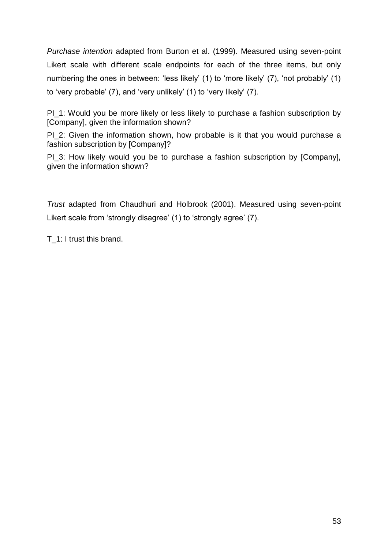*Purchase intention* adapted from Burton et al. (1999). Measured using seven-point Likert scale with different scale endpoints for each of the three items, but only numbering the ones in between: 'less likely' (1) to 'more likely' (7), 'not probably' (1) to 'very probable' (7), and 'very unlikely' (1) to 'very likely' (7).

PI\_1: Would you be more likely or less likely to purchase a fashion subscription by [Company], given the information shown?

PI\_2: Given the information shown, how probable is it that you would purchase a fashion subscription by [Company]?

PI\_3: How likely would you be to purchase a fashion subscription by [Company], given the information shown?

*Trust* adapted from Chaudhuri and Holbrook (2001). Measured using seven-point Likert scale from 'strongly disagree' (1) to 'strongly agree' (7).

T\_1: I trust this brand.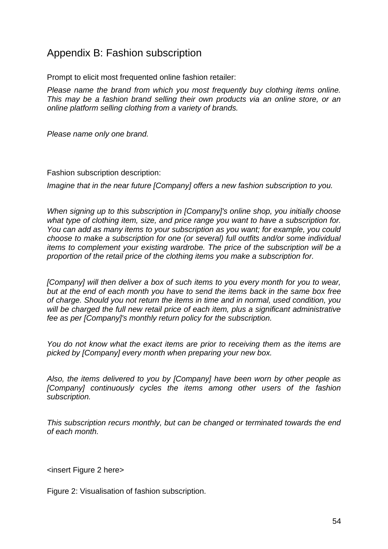# Appendix B: Fashion subscription

Prompt to elicit most frequented online fashion retailer:

*Please name the brand from which you most frequently buy clothing items online. This may be a fashion brand selling their own products via an online store, or an online platform selling clothing from a variety of brands.*

*Please name only one brand.*

Fashion subscription description:

*Imagine that in the near future [Company] offers a new fashion subscription to you.*

*When signing up to this subscription in [Company]'s online shop, you initially choose what type of clothing item, size, and price range you want to have a subscription for. You can add as many items to your subscription as you want; for example, you could choose to make a subscription for one (or several) full outfits and/or some individual items to complement your existing wardrobe. The price of the subscription will be a proportion of the retail price of the clothing items you make a subscription for.*

*[Company] will then deliver a box of such items to you every month for you to wear, but at the end of each month you have to send the items back in the same box free of charge. Should you not return the items in time and in normal, used condition, you will be charged the full new retail price of each item, plus a significant administrative fee as per [Company]'s monthly return policy for the subscription.*

*You do not know what the exact items are prior to receiving them as the items are picked by [Company] every month when preparing your new box.*

*Also, the items delivered to you by [Company] have been worn by other people as [Company] continuously cycles the items among other users of the fashion subscription.*

*This subscription recurs monthly, but can be changed or terminated towards the end of each month.*

<insert Figure 2 here>

Figure 2: Visualisation of fashion subscription.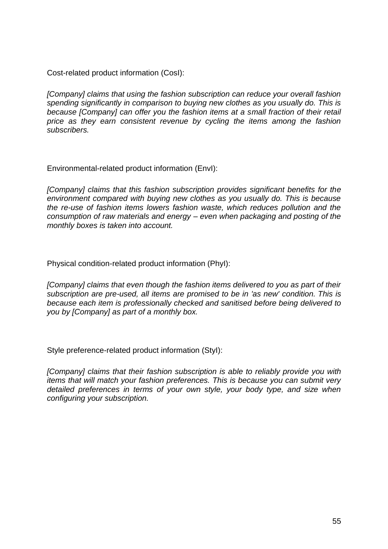Cost-related product information (CosI):

*[Company] claims that using the fashion subscription can reduce your overall fashion spending significantly in comparison to buying new clothes as you usually do. This is because [Company] can offer you the fashion items at a small fraction of their retail price as they earn consistent revenue by cycling the items among the fashion subscribers.*

Environmental-related product information (EnvI):

*[Company] claims that this fashion subscription provides significant benefits for the environment compared with buying new clothes as you usually do. This is because the re-use of fashion items lowers fashion waste, which reduces pollution and the consumption of raw materials and energy – even when packaging and posting of the monthly boxes is taken into account.*

Physical condition-related product information (PhyI):

*[Company] claims that even though the fashion items delivered to you as part of their subscription are pre-used, all items are promised to be in 'as new' condition. This is because each item is professionally checked and sanitised before being delivered to you by [Company] as part of a monthly box.*

Style preference-related product information (StyI):

*[Company] claims that their fashion subscription is able to reliably provide you with items that will match your fashion preferences. This is because you can submit very detailed preferences in terms of your own style, your body type, and size when configuring your subscription.*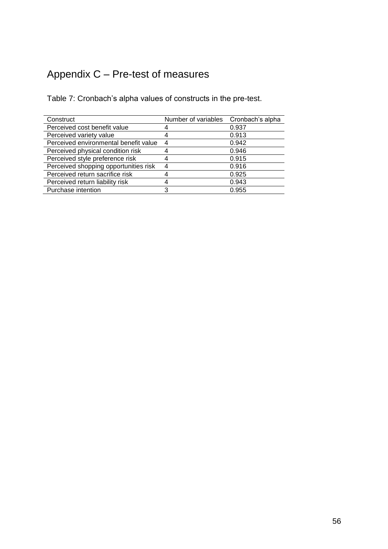# Appendix C – Pre-test of measures

Table 7: Cronbach's alpha values of constructs in the pre-test.

| Construct                             | Number of variables Cronbach's alpha |       |
|---------------------------------------|--------------------------------------|-------|
| Perceived cost benefit value          |                                      | 0.937 |
| Perceived variety value               |                                      | 0.913 |
| Perceived environmental benefit value | $\overline{4}$                       | 0.942 |
| Perceived physical condition risk     |                                      | 0.946 |
| Perceived style preference risk       |                                      | 0.915 |
| Perceived shopping opportunities risk | 4                                    | 0.916 |
| Perceived return sacrifice risk       |                                      | 0.925 |
| Perceived return liability risk       |                                      | 0.943 |
| Purchase intention                    | 3                                    | 0.955 |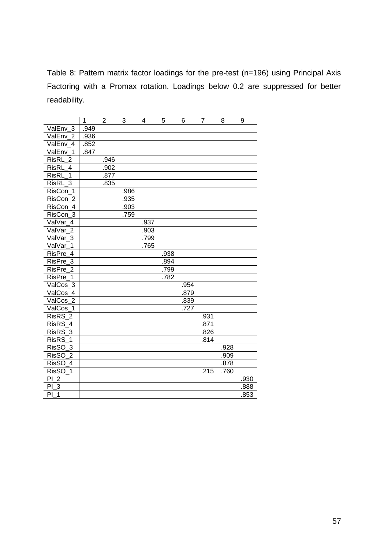Table 8: Pattern matrix factor loadings for the pre-test (n=196) using Principal Axis Factoring with a Promax rotation. Loadings below 0.2 are suppressed for better readability.

|                                | 1    | $\overline{2}$ | $\overline{3}$ | 4    | 5    | 6    | $\overline{7}$ | 8    | 9    |
|--------------------------------|------|----------------|----------------|------|------|------|----------------|------|------|
| ValEnv_3                       | .949 |                |                |      |      |      |                |      |      |
| ValEnv <sub>2</sub>            | .936 |                |                |      |      |      |                |      |      |
| ValEnv 4                       | .852 |                |                |      |      |      |                |      |      |
| ValEnv 1                       | .847 |                |                |      |      |      |                |      |      |
| <b>RisRL</b><br>$\overline{2}$ |      | .946           |                |      |      |      |                |      |      |
| <b>RisRL</b><br>$\overline{4}$ |      | .902           |                |      |      |      |                |      |      |
| <b>RisRL</b><br>1              |      | .877           |                |      |      |      |                |      |      |
| $\overline{3}$<br><b>RisRL</b> |      | .835           |                |      |      |      |                |      |      |
| RisCon_1                       |      |                | .986           |      |      |      |                |      |      |
| RisCon <sub>2</sub>            |      |                | .935           |      |      |      |                |      |      |
| RisCon 4                       |      |                | .903           |      |      |      |                |      |      |
| $RisCon$ 3                     |      |                | .759           |      |      |      |                |      |      |
| ValVar 4                       |      |                |                | .937 |      |      |                |      |      |
| ValVar <sub>2</sub>            |      |                |                | .903 |      |      |                |      |      |
| ValVar 3                       |      |                |                | .799 |      |      |                |      |      |
| ValVar<br>1                    |      |                |                | .765 |      |      |                |      |      |
| RisPre 4                       |      |                |                |      | .938 |      |                |      |      |
| RisPre_3                       |      |                |                |      | .894 |      |                |      |      |
| RisPre_<br>$\overline{2}$      |      |                |                |      | .799 |      |                |      |      |
| RisPre<br>1                    |      |                |                |      | .782 |      |                |      |      |
| ValCos $\overline{3}$          |      |                |                |      |      | .954 |                |      |      |
| ValCos 4                       |      |                |                |      |      | .879 |                |      |      |
| ValCos $\overline{2}$          |      |                |                |      |      | .839 |                |      |      |
| ValCos 1                       |      |                |                |      |      | .727 |                |      |      |
| RisRS <sub>2</sub>             |      |                |                |      |      |      | .931           |      |      |
| RisRS 4                        |      |                |                |      |      |      | .871           |      |      |
| 3<br><b>RisRS</b>              |      |                |                |      |      |      | .826           |      |      |
| <b>RisRS</b><br>$\mathbf{1}$   |      |                |                |      |      |      | .814           |      |      |
| <b>RisSO</b><br>$\overline{3}$ |      |                |                |      |      |      |                | .928 |      |
| <b>RisSO</b><br>$\overline{2}$ |      |                |                |      |      |      |                | .909 |      |
| <b>RisSO</b><br>$\overline{4}$ |      |                |                |      |      |      |                | .878 |      |
| <b>RisSO</b><br>1              |      |                |                |      |      |      | .215           | .760 |      |
| PL2                            |      |                |                |      |      |      |                |      | .930 |
| $\mathbf{3}$<br>PI             |      |                |                |      |      |      |                |      | .888 |
| PI<br>$\overline{1}$           |      |                |                |      |      |      |                |      | .853 |